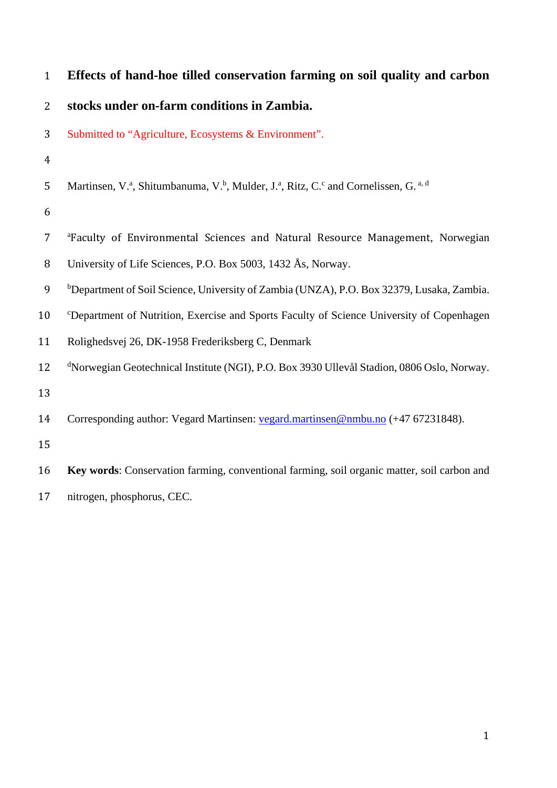| $\mathbf{1}$   | Effects of hand-hoe tilled conservation farming on soil quality and carbon                             |
|----------------|--------------------------------------------------------------------------------------------------------|
| $\overline{2}$ | stocks under on-farm conditions in Zambia.                                                             |
| 3              | Submitted to "Agriculture, Ecosystems & Environment".                                                  |
| $\overline{4}$ |                                                                                                        |
| 5              | Martinsen, V.ª, Shitumbanuma, V.b, Mulder, J.ª, Ritz, C.c and Cornelissen, G. <sup>a, d</sup>          |
| 6              |                                                                                                        |
| $\overline{7}$ | <sup>a</sup> Faculty of Environmental Sciences and Natural Resource Management, Norwegian              |
| $\, 8$         | University of Life Sciences, P.O. Box 5003, 1432 Ås, Norway.                                           |
| 9              | <sup>b</sup> Department of Soil Science, University of Zambia (UNZA), P.O. Box 32379, Lusaka, Zambia.  |
| 10             | <sup>c</sup> Department of Nutrition, Exercise and Sports Faculty of Science University of Copenhagen  |
| 11             | Rolighedsvej 26, DK-1958 Frederiksberg C, Denmark                                                      |
| 12             | <sup>d</sup> Norwegian Geotechnical Institute (NGI), P.O. Box 3930 Ullevål Stadion, 0806 Oslo, Norway. |
| 13             |                                                                                                        |
| 14             | Corresponding author: Vegard Martinsen: vegard.martinsen@nmbu.no (+47 67231848).                       |
| 15             |                                                                                                        |
| 16             | Key words: Conservation farming, conventional farming, soil organic matter, soil carbon and            |
| 17             | nitrogen, phosphorus, CEC.                                                                             |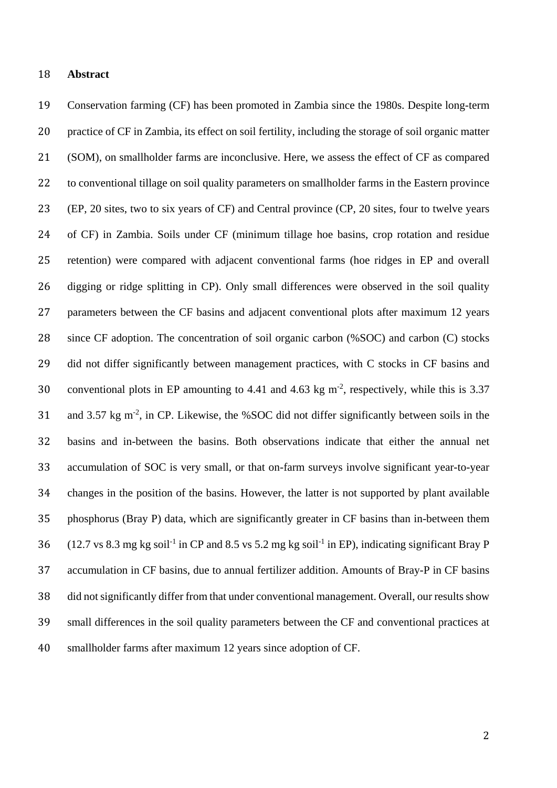### **Abstract**

 Conservation farming (CF) has been promoted in Zambia since the 1980s. Despite long-term practice of CF in Zambia, its effect on soil fertility, including the storage of soil organic matter (SOM), on smallholder farms are inconclusive. Here, we assess the effect of CF as compared to conventional tillage on soil quality parameters on smallholder farms in the Eastern province (EP, 20 sites, two to six years of CF) and Central province (CP, 20 sites, four to twelve years of CF) in Zambia. Soils under CF (minimum tillage hoe basins, crop rotation and residue retention) were compared with adjacent conventional farms (hoe ridges in EP and overall digging or ridge splitting in CP). Only small differences were observed in the soil quality parameters between the CF basins and adjacent conventional plots after maximum 12 years since CF adoption. The concentration of soil organic carbon (%SOC) and carbon (C) stocks 29 did not differ significantly between management practices, with C stocks in CF basins and 30 conventional plots in EP amounting to 4.41 and 4.63 kg  $m<sup>2</sup>$ , respectively, while this is 3.37 31 and 3.57 kg m<sup>-2</sup>, in CP. Likewise, the %SOC did not differ significantly between soils in the basins and in-between the basins. Both observations indicate that either the annual net accumulation of SOC is very small, or that on-farm surveys involve significant year-to-year changes in the position of the basins. However, the latter is not supported by plant available phosphorus (Bray P) data, which are significantly greater in CF basins than in-between them  $(12.7 \text{ vs } 8.3 \text{ mg kg soil}^{-1} \text{ in CP and } 8.5 \text{ vs } 5.2 \text{ mg kg soil}^{-1} \text{ in EP})$ , indicating significant Bray P accumulation in CF basins, due to annual fertilizer addition. Amounts of Bray-P in CF basins did not significantly differ from that under conventional management. Overall, our results show small differences in the soil quality parameters between the CF and conventional practices at smallholder farms after maximum 12 years since adoption of CF.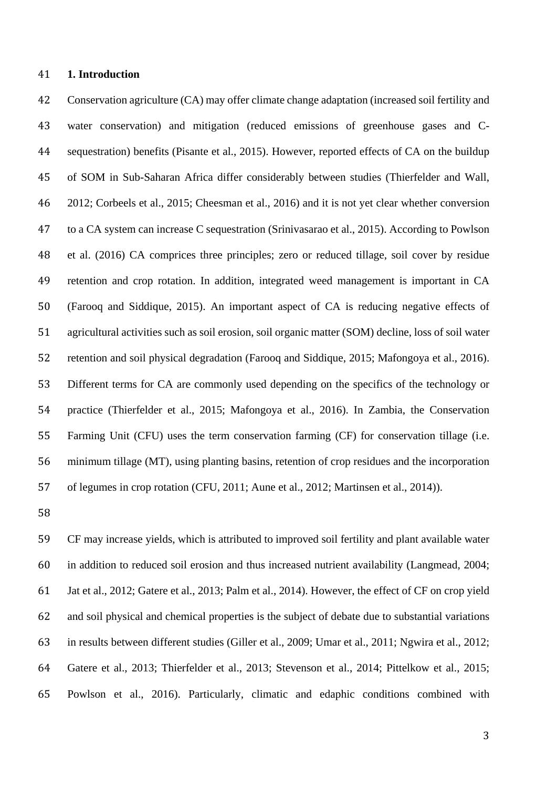### **1. Introduction**

 Conservation agriculture (CA) may offer climate change adaptation (increased soil fertility and water conservation) and mitigation (reduced emissions of greenhouse gases and C- sequestration) benefits (Pisante et al., 2015). However, reported effects of CA on the buildup of SOM in Sub-Saharan Africa differ considerably between studies (Thierfelder and Wall, 2012; Corbeels et al., 2015; Cheesman et al., 2016) and it is not yet clear whether conversion to a CA system can increase C sequestration (Srinivasarao et al., 2015). According to Powlson et al. (2016) CA comprices three principles; zero or reduced tillage, soil cover by residue retention and crop rotation. In addition, integrated weed management is important in CA (Farooq and Siddique, 2015). An important aspect of CA is reducing negative effects of agricultural activities such as soil erosion, soil organic matter (SOM) decline, loss of soil water retention and soil physical degradation (Farooq and Siddique, 2015; Mafongoya et al., 2016). Different terms for CA are commonly used depending on the specifics of the technology or practice (Thierfelder et al., 2015; Mafongoya et al., 2016). In Zambia, the Conservation Farming Unit (CFU) uses the term conservation farming (CF) for conservation tillage (i.e. minimum tillage (MT), using planting basins, retention of crop residues and the incorporation of legumes in crop rotation (CFU, 2011; Aune et al., 2012; Martinsen et al., 2014)).

 CF may increase yields, which is attributed to improved soil fertility and plant available water in addition to reduced soil erosion and thus increased nutrient availability (Langmead, 2004; Jat et al., 2012; Gatere et al., 2013; Palm et al., 2014). However, the effect of CF on crop yield and soil physical and chemical properties is the subject of debate due to substantial variations in results between different studies (Giller et al., 2009; Umar et al., 2011; Ngwira et al., 2012; Gatere et al., 2013; Thierfelder et al., 2013; Stevenson et al., 2014; Pittelkow et al., 2015; Powlson et al., 2016). Particularly, climatic and edaphic conditions combined with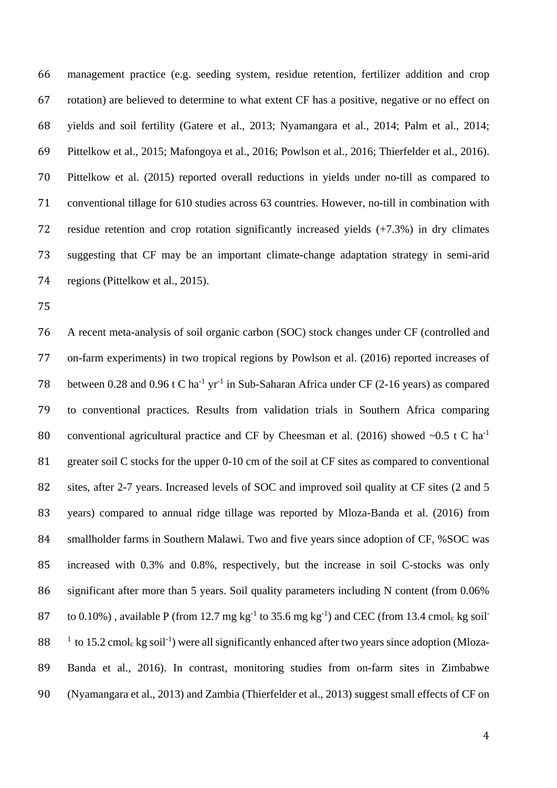management practice (e.g. seeding system, residue retention, fertilizer addition and crop rotation) are believed to determine to what extent CF has a positive, negative or no effect on yields and soil fertility (Gatere et al., 2013; Nyamangara et al., 2014; Palm et al., 2014; Pittelkow et al., 2015; Mafongoya et al., 2016; Powlson et al., 2016; Thierfelder et al., 2016). Pittelkow et al. (2015) reported overall reductions in yields under no-till as compared to conventional tillage for 610 studies across 63 countries. However, no-till in combination with residue retention and crop rotation significantly increased yields (+7.3%) in dry climates suggesting that CF may be an important climate-change adaptation strategy in semi-arid regions (Pittelkow et al., 2015).

 A recent meta-analysis of soil organic carbon (SOC) stock changes under CF (controlled and on-farm experiments) in two tropical regions by Powlson et al. (2016) reported increases of 78 between 0.28 and 0.96 t C ha<sup>-1</sup> yr<sup>-1</sup> in Sub-Saharan Africa under CF (2-16 years) as compared to conventional practices. Results from validation trials in Southern Africa comparing 80 conventional agricultural practice and CF by Cheesman et al. (2016) showed  $\sim 0.5$  t C ha<sup>-1</sup> 81 greater soil C stocks for the upper 0-10 cm of the soil at CF sites as compared to conventional 82 sites, after 2-7 years. Increased levels of SOC and improved soil quality at CF sites (2 and 5 years) compared to annual ridge tillage was reported by Mloza-Banda et al. (2016) from smallholder farms in Southern Malawi. Two and five years since adoption of CF, %SOC was increased with 0.3% and 0.8%, respectively, but the increase in soil C-stocks was only significant after more than 5 years. Soil quality parameters including N content (from 0.06% 87 to 0.10%), available P (from 12.7 mg  $kg^{-1}$  to 35.6 mg  $kg^{-1}$ ) and CEC (from 13.4 cmole kg soil<sup>-</sup> to 15.2 cmol<sub>c</sub> kg soil<sup>-1</sup>) were all significantly enhanced after two years since adoption (Mloza- Banda et al., 2016). In contrast, monitoring studies from on-farm sites in Zimbabwe (Nyamangara et al., 2013) and Zambia (Thierfelder et al., 2013) suggest small effects of CF on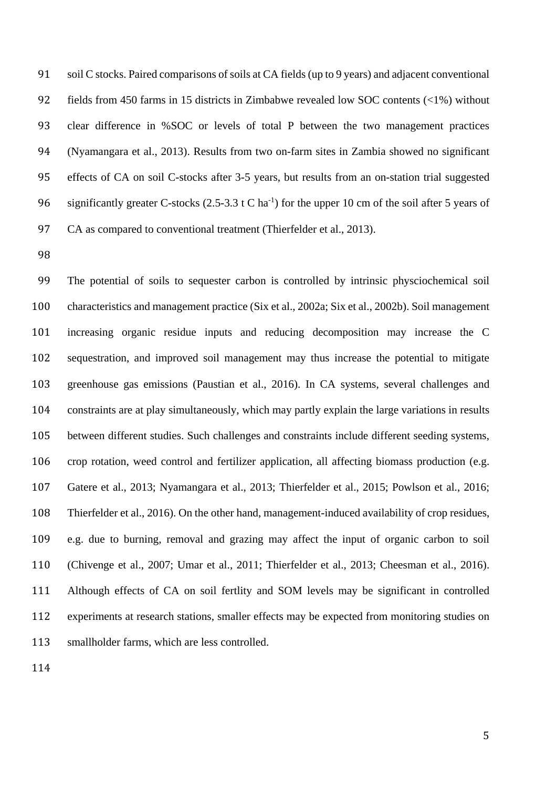soil C stocks. Paired comparisons of soils at CA fields (up to 9 years) and adjacent conventional fields from 450 farms in 15 districts in Zimbabwe revealed low SOC contents (<1%) without clear difference in %SOC or levels of total P between the two management practices (Nyamangara et al., 2013). Results from two on-farm sites in Zambia showed no significant effects of CA on soil C-stocks after 3-5 years, but results from an on-station trial suggested 96 significantly greater C-stocks (2.5-3.3 t C ha<sup>-1</sup>) for the upper 10 cm of the soil after 5 years of 97 CA as compared to conventional treatment (Thierfelder et al., 2013).

 The potential of soils to sequester carbon is controlled by intrinsic physciochemical soil characteristics and management practice (Six et al., 2002a; Six et al., 2002b). Soil management increasing organic residue inputs and reducing decomposition may increase the C sequestration, and improved soil management may thus increase the potential to mitigate greenhouse gas emissions (Paustian et al., 2016). In CA systems, several challenges and constraints are at play simultaneously, which may partly explain the large variations in results between different studies. Such challenges and constraints include different seeding systems, crop rotation, weed control and fertilizer application, all affecting biomass production (e.g. Gatere et al., 2013; Nyamangara et al., 2013; Thierfelder et al., 2015; Powlson et al., 2016; Thierfelder et al., 2016). On the other hand, management-induced availability of crop residues, e.g. due to burning, removal and grazing may affect the input of organic carbon to soil (Chivenge et al., 2007; Umar et al., 2011; Thierfelder et al., 2013; Cheesman et al., 2016). Although effects of CA on soil fertlity and SOM levels may be significant in controlled experiments at research stations, smaller effects may be expected from monitoring studies on smallholder farms, which are less controlled.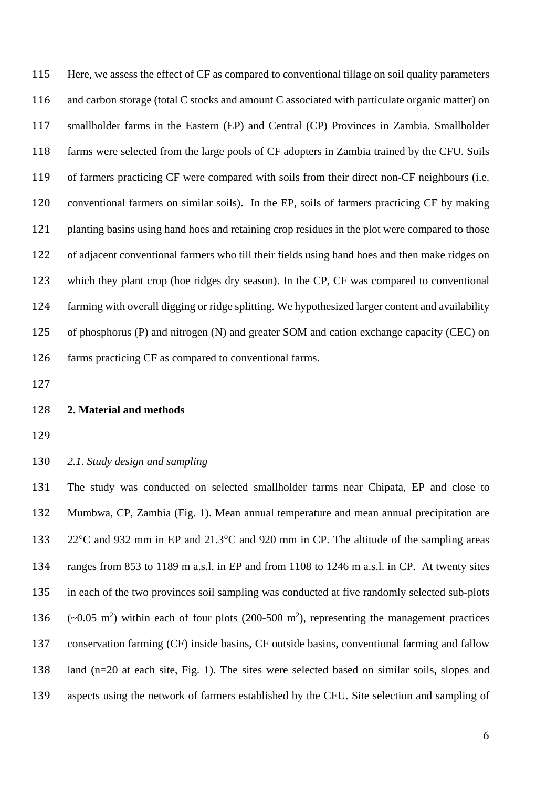Here, we assess the effect of CF as compared to conventional tillage on soil quality parameters and carbon storage (total C stocks and amount C associated with particulate organic matter) on smallholder farms in the Eastern (EP) and Central (CP) Provinces in Zambia. Smallholder farms were selected from the large pools of CF adopters in Zambia trained by the CFU. Soils of farmers practicing CF were compared with soils from their direct non-CF neighbours (i.e. conventional farmers on similar soils). In the EP, soils of farmers practicing CF by making 121 planting basins using hand hoes and retaining crop residues in the plot were compared to those of adjacent conventional farmers who till their fields using hand hoes and then make ridges on which they plant crop (hoe ridges dry season). In the CP, CF was compared to conventional farming with overall digging or ridge splitting. We hypothesized larger content and availability of phosphorus (P) and nitrogen (N) and greater SOM and cation exchange capacity (CEC) on farms practicing CF as compared to conventional farms.

# **2. Material and methods**

*2.1. Study design and sampling*

 The study was conducted on selected smallholder farms near Chipata, EP and close to Mumbwa, CP, Zambia (Fig. 1). Mean annual temperature and mean annual precipitation are 22°C and 932 mm in EP and 21.3°C and 920 mm in CP. The altitude of the sampling areas ranges from 853 to 1189 m a.s.l. in EP and from 1108 to 1246 m a.s.l. in CP. At twenty sites in each of the two provinces soil sampling was conducted at five randomly selected sub-plots  $(-0.05 \text{ m}^2)$  within each of four plots (200-500 m<sup>2</sup>), representing the management practices conservation farming (CF) inside basins, CF outside basins, conventional farming and fallow land (n=20 at each site, Fig. 1). The sites were selected based on similar soils, slopes and aspects using the network of farmers established by the CFU. Site selection and sampling of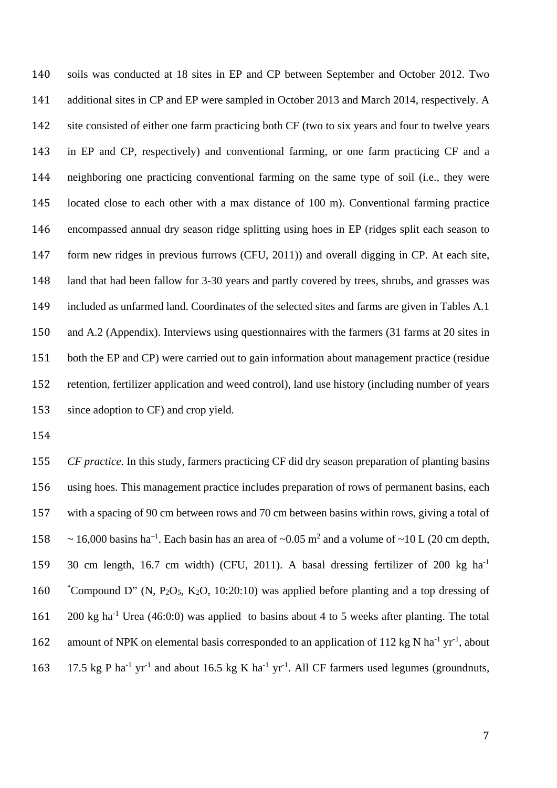soils was conducted at 18 sites in EP and CP between September and October 2012. Two additional sites in CP and EP were sampled in October 2013 and March 2014, respectively. A site consisted of either one farm practicing both CF (two to six years and four to twelve years in EP and CP, respectively) and conventional farming, or one farm practicing CF and a neighboring one practicing conventional farming on the same type of soil (i.e., they were located close to each other with a max distance of 100 m). Conventional farming practice encompassed annual dry season ridge splitting using hoes in EP (ridges split each season to form new ridges in previous furrows (CFU, 2011)) and overall digging in CP. At each site, land that had been fallow for 3-30 years and partly covered by trees, shrubs, and grasses was included as unfarmed land. Coordinates of the selected sites and farms are given in Tables A.1 and A.2 (Appendix). Interviews using questionnaires with the farmers (31 farms at 20 sites in both the EP and CP) were carried out to gain information about management practice (residue retention, fertilizer application and weed control), land use history (including number of years since adoption to CF) and crop yield.

 *CF practice.* In this study, farmers practicing CF did dry season preparation of planting basins using hoes. This management practice includes preparation of rows of permanent basins, each with a spacing of 90 cm between rows and 70 cm between basins within rows, giving a total of 158  $\sim$  16,000 basins ha<sup>-1</sup>. Each basin has an area of ~0.05 m<sup>2</sup> and a volume of ~10 L (20 cm depth, 159 30 cm length, 16.7 cm width) (CFU, 2011). A basal dressing fertilizer of 200 kg ha<sup>-1</sup> 160 Compound D" (N, P<sub>2</sub>O<sub>5</sub>, K<sub>2</sub>O, 10:20:10) was applied before planting and a top dressing of 161 200 kg ha<sup>-1</sup> Urea (46:0:0) was applied to basins about 4 to 5 weeks after planting. The total 162 amount of NPK on elemental basis corresponded to an application of 112 kg N ha<sup>-1</sup> yr<sup>-1</sup>, about 163 17.5 kg P ha<sup>-1</sup> yr<sup>-1</sup> and about 16.5 kg K ha<sup>-1</sup> yr<sup>-1</sup>. All CF farmers used legumes (groundnuts,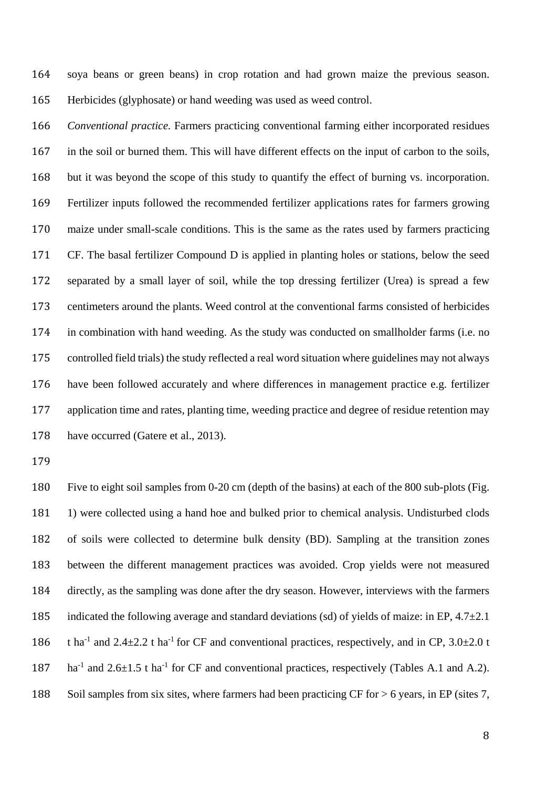soya beans or green beans) in crop rotation and had grown maize the previous season. Herbicides (glyphosate) or hand weeding was used as weed control.

 *Conventional practice.* Farmers practicing conventional farming either incorporated residues in the soil or burned them. This will have different effects on the input of carbon to the soils, but it was beyond the scope of this study to quantify the effect of burning vs. incorporation. Fertilizer inputs followed the recommended fertilizer applications rates for farmers growing maize under small-scale conditions. This is the same as the rates used by farmers practicing CF. The basal fertilizer Compound D is applied in planting holes or stations, below the seed separated by a small layer of soil, while the top dressing fertilizer (Urea) is spread a few centimeters around the plants. Weed control at the conventional farms consisted of herbicides in combination with hand weeding. As the study was conducted on smallholder farms (i.e. no controlled field trials) the study reflected a real word situation where guidelines may not always have been followed accurately and where differences in management practice e.g. fertilizer application time and rates, planting time, weeding practice and degree of residue retention may 178 have occurred (Gatere et al., 2013).

 Five to eight soil samples from 0-20 cm (depth of the basins) at each of the 800 sub-plots (Fig. 1) were collected using a hand hoe and bulked prior to chemical analysis. Undisturbed clods of soils were collected to determine bulk density (BD). Sampling at the transition zones between the different management practices was avoided. Crop yields were not measured directly, as the sampling was done after the dry season. However, interviews with the farmers 185 indicated the following average and standard deviations (sd) of yields of maize: in EP,  $4.7\pm2.1$ 186 tha<sup>-1</sup> and 2.4 $\pm$ 2.2 t ha<sup>-1</sup> for CF and conventional practices, respectively, and in CP, 3.0 $\pm$ 2.0 t 187 ha<sup>-1</sup> and 2.6 $\pm$ 1.5 t ha<sup>-1</sup> for CF and conventional practices, respectively (Tables A.1 and A.2). Soil samples from six sites, where farmers had been practicing CF for > 6 years, in EP (sites 7,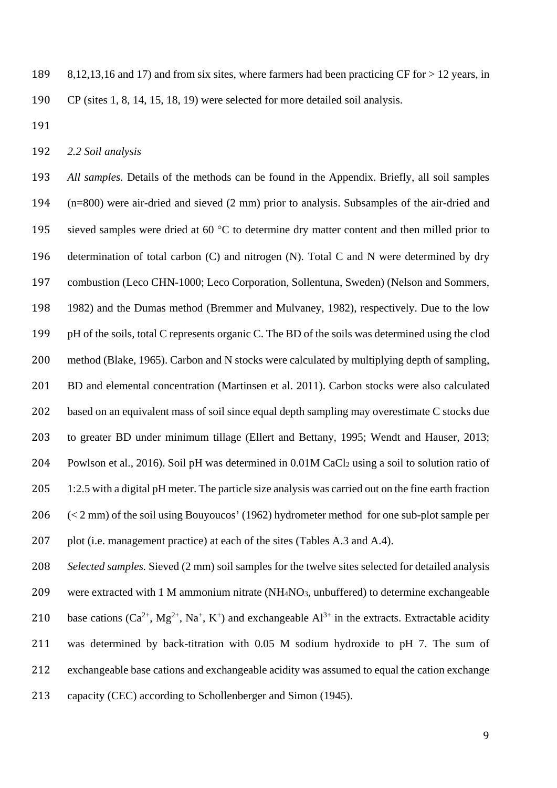8,12,13,16 and 17) and from six sites, where farmers had been practicing CF for > 12 years, in CP (sites 1, 8, 14, 15, 18, 19) were selected for more detailed soil analysis.

*2.2 Soil analysis*

 *All samples.* Details of the methods can be found in the Appendix. Briefly, all soil samples (n=800) were air-dried and sieved (2 mm) prior to analysis. Subsamples of the air-dried and 195 sieved samples were dried at 60 °C to determine dry matter content and then milled prior to determination of total carbon (C) and nitrogen (N). Total C and N were determined by dry combustion (Leco CHN-1000; Leco Corporation, Sollentuna, Sweden) (Nelson and Sommers, 1982) and the Dumas method (Bremmer and Mulvaney, 1982), respectively. Due to the low pH of the soils, total C represents organic C. The BD of the soils was determined using the clod method (Blake, 1965). Carbon and N stocks were calculated by multiplying depth of sampling, 201 BD and elemental concentration (Martinsen et al. 2011). Carbon stocks were also calculated based on an equivalent mass of soil since equal depth sampling may overestimate C stocks due to greater BD under minimum tillage (Ellert and Bettany, 1995; Wendt and Hauser, 2013; Powlson et al., 2016). Soil pH was determined in 0.01M CaCl2 using a soil to solution ratio of 205 1:2.5 with a digital pH meter. The particle size analysis was carried out on the fine earth fraction (< 2 mm) of the soil using Bouyoucos' (1962) hydrometer method for one sub-plot sample per 207 plot (i.e. management practice) at each of the sites (Tables A.3 and A.4).

 *Selected samples.* Sieved (2 mm) soil samples for the twelve sites selected for detailed analysis were extracted with 1 M ammonium nitrate (NH4NO3, unbuffered) to determine exchangeable 210 base cations  $(Ca^{2+}, Mg^{2+}, Na^+, K^+)$  and exchangeable  $Al^{3+}$  in the extracts. Extractable acidity was determined by back-titration with 0.05 M sodium hydroxide to pH 7. The sum of exchangeable base cations and exchangeable acidity was assumed to equal the cation exchange capacity (CEC) according to Schollenberger and Simon (1945).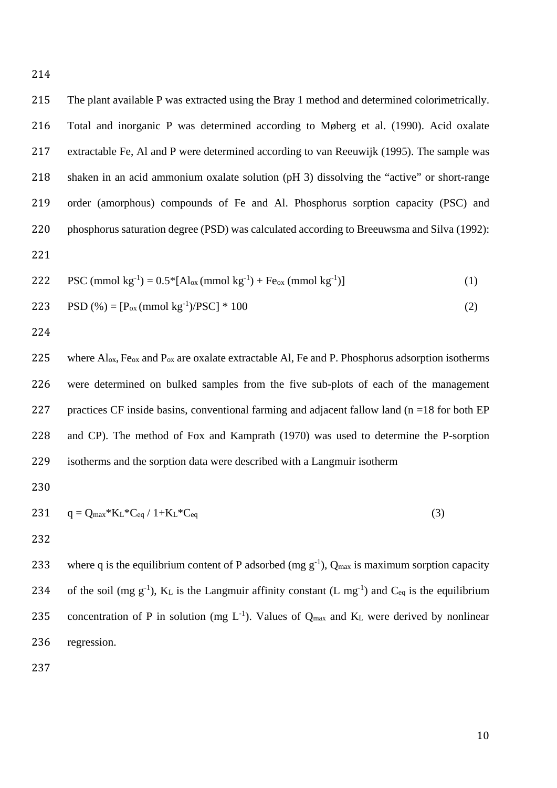The plant available P was extracted using the Bray 1 method and determined colorimetrically. Total and inorganic P was determined according to Møberg et al. (1990). Acid oxalate extractable Fe, Al and P were determined according to van Reeuwijk (1995). The sample was shaken in an acid ammonium oxalate solution (pH 3) dissolving the "active" or short-range order (amorphous) compounds of Fe and Al. Phosphorus sorption capacity (PSC) and

222 PSC (mmol kg<sup>-1</sup>) = 
$$
0.5^*[Al_{ox}(mmol kg^{-1}) + Fe_{ox}(mmol kg^{-1})]
$$
 (1)

phosphorus saturation degree (PSD) was calculated according to Breeuwsma and Silva (1992):

223 PSD (
$$
\% = [P_{ox} \text{(mmol kg}^{-1})/PSC] * 100
$$
 (2)

225 where  $A\text{I}_{\text{ox}}$ , Fe<sub>ox</sub> and P<sub>ox</sub> are oxalate extractable Al, Fe and P. Phosphorus adsorption isotherms were determined on bulked samples from the five sub-plots of each of the management 227 practices CF inside basins, conventional farming and adjacent fallow land ( $n = 18$  for both EP and CP). The method of Fox and Kamprath (1970) was used to determine the P-sorption isotherms and the sorption data were described with a Langmuir isotherm

$$
231 \t q = Q_{max} * K_L * C_{eq} / 1 + K_L * C_{eq}
$$
\n(3)

233 where q is the equilibrium content of P adsorbed (mg  $g^{-1}$ ), Q<sub>max</sub> is maximum sorption capacity 234 of the soil (mg  $g^{-1}$ ), K<sub>L</sub> is the Langmuir affinity constant (L mg<sup>-1</sup>) and C<sub>eq</sub> is the equilibrium 235 concentration of P in solution (mg  $L^{-1}$ ). Values of  $Q_{max}$  and  $K_L$  were derived by nonlinear regression.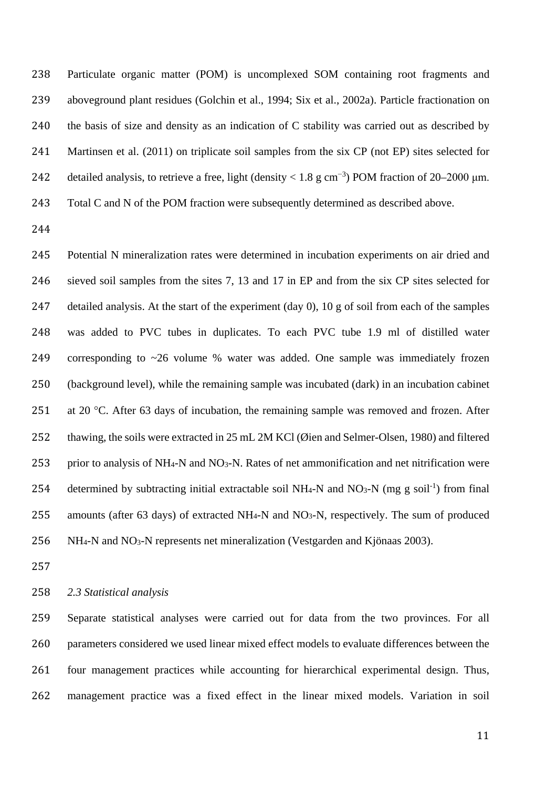Particulate organic matter (POM) is uncomplexed SOM containing root fragments and aboveground plant residues (Golchin et al., 1994; Six et al., 2002a). Particle fractionation on the basis of size and density as an indication of C stability was carried out as described by Martinsen et al. (2011) on triplicate soil samples from the six CP (not EP) sites selected for 242 detailed analysis, to retrieve a free, light (density <  $1.8 \text{ g cm}^{-3}$ ) POM fraction of 20–2000 µm. Total C and N of the POM fraction were subsequently determined as described above.

 Potential N mineralization rates were determined in incubation experiments on air dried and sieved soil samples from the sites 7, 13 and 17 in EP and from the six CP sites selected for detailed analysis. At the start of the experiment (day 0), 10 g of soil from each of the samples was added to PVC tubes in duplicates. To each PVC tube 1.9 ml of distilled water corresponding to ~26 volume % water was added. One sample was immediately frozen (background level), while the remaining sample was incubated (dark) in an incubation cabinet 251 at 20  $^{\circ}$ C. After 63 days of incubation, the remaining sample was removed and frozen. After thawing, the soils were extracted in 25 mL 2M KCl (Øien and Selmer-Olsen, 1980) and filtered prior to analysis of NH4-N and NO3-N. Rates of net ammonification and net nitrification were 254 determined by subtracting initial extractable soil NH<sub>4</sub>-N and NO<sub>3</sub>-N (mg g soil<sup>-1</sup>) from final amounts (after 63 days) of extracted NH4-N and NO3-N, respectively. The sum of produced NH4-N and NO3-N represents net mineralization (Vestgarden and Kjönaas 2003).

*2.3 Statistical analysis*

 Separate statistical analyses were carried out for data from the two provinces. For all parameters considered we used linear mixed effect models to evaluate differences between the four management practices while accounting for hierarchical experimental design. Thus, management practice was a fixed effect in the linear mixed models. Variation in soil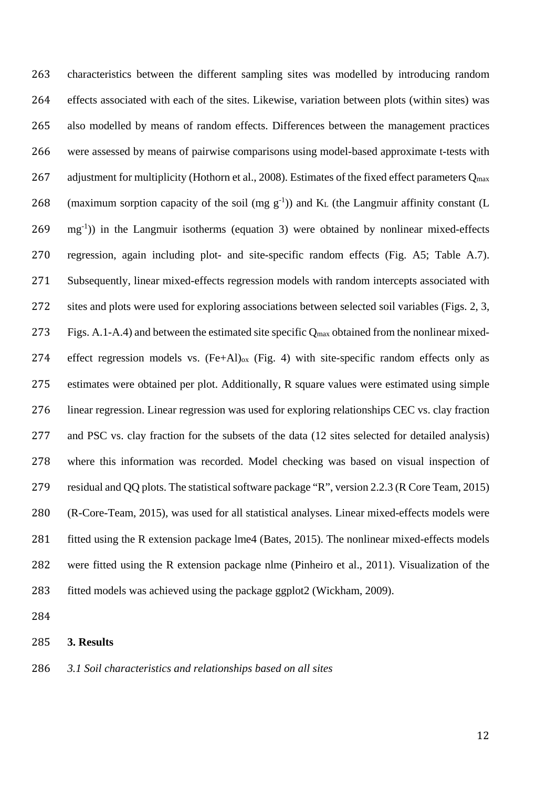characteristics between the different sampling sites was modelled by introducing random effects associated with each of the sites. Likewise, variation between plots (within sites) was also modelled by means of random effects. Differences between the management practices were assessed by means of pairwise comparisons using model-based approximate t-tests with 267 adjustment for multiplicity (Hothorn et al., 2008). Estimates of the fixed effect parameters  $Q_{\text{max}}$ 268 (maximum sorption capacity of the soil (mg  $g^{-1}$ )) and K<sub>L</sub> (the Langmuir affinity constant (L  $269 \text{ mg}^{-1}$ )) in the Langmuir isotherms (equation 3) were obtained by nonlinear mixed-effects regression, again including plot- and site-specific random effects (Fig. A5; Table A.7). Subsequently, linear mixed-effects regression models with random intercepts associated with sites and plots were used for exploring associations between selected soil variables (Figs. 2, 3, Figs. A.1-A.4) and between the estimated site specific Qmax obtained from the nonlinear mixed-274 effect regression models vs.  $(Fe+Al)_{ox}$  (Fig. 4) with site-specific random effects only as estimates were obtained per plot. Additionally, R square values were estimated using simple linear regression. Linear regression was used for exploring relationships CEC vs. clay fraction and PSC vs. clay fraction for the subsets of the data (12 sites selected for detailed analysis) where this information was recorded. Model checking was based on visual inspection of residual and QQ plots. The statistical software package "R", version 2.2.3 (R Core Team, 2015) (R-Core-Team, 2015), was used for all statistical analyses. Linear mixed-effects models were 281 fitted using the R extension package lme4 (Bates, 2015). The nonlinear mixed-effects models were fitted using the R extension package nlme (Pinheiro et al., 2011). Visualization of the fitted models was achieved using the package ggplot2 (Wickham, 2009).

# **3. Results**

#### *3.1 Soil characteristics and relationships based on all sites*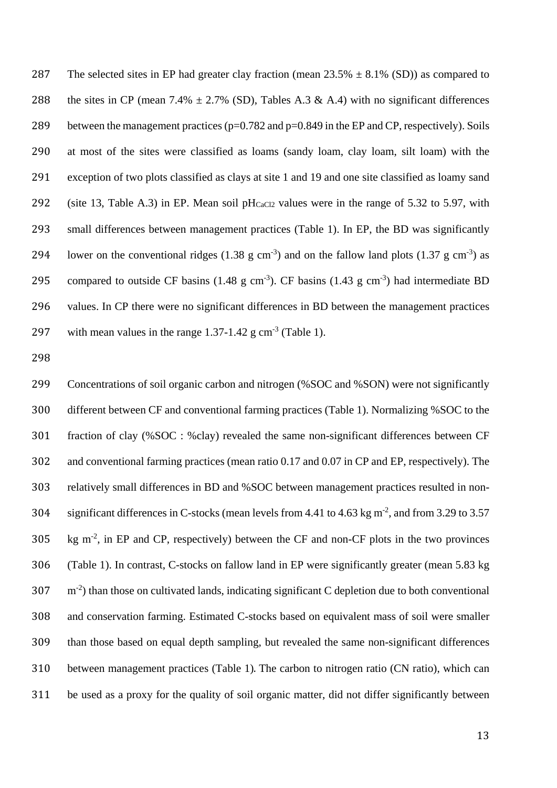287 The selected sites in EP had greater clay fraction (mean  $23.5\% \pm 8.1\%$  (SD)) as compared to 288 the sites in CP (mean 7.4%  $\pm$  2.7% (SD), Tables A.3 & A.4) with no significant differences 289 between the management practices ( $p=0.782$  and  $p=0.849$  in the EP and CP, respectively). Soils at most of the sites were classified as loams (sandy loam, clay loam, silt loam) with the exception of two plots classified as clays at site 1 and 19 and one site classified as loamy sand 292 (site 13, Table A.3) in EP. Mean soil pH $_{CaCl2}$  values were in the range of 5.32 to 5.97, with small differences between management practices (Table 1). In EP, the BD was significantly 294 lower on the conventional ridges  $(1.38 \text{ g cm}^{-3})$  and on the fallow land plots  $(1.37 \text{ g cm}^{-3})$  as 295 compared to outside CF basins  $(1.48 \text{ g cm}^{-3})$ . CF basins  $(1.43 \text{ g cm}^{-3})$  had intermediate BD values. In CP there were no significant differences in BD between the management practices 297 with mean values in the range  $1.37$ -1.42 g cm<sup>-3</sup> (Table 1).

 Concentrations of soil organic carbon and nitrogen (%SOC and %SON) were not significantly different between CF and conventional farming practices (Table 1). Normalizing %SOC to the fraction of clay (%SOC : %clay) revealed the same non-significant differences between CF and conventional farming practices (mean ratio 0.17 and 0.07 in CP and EP, respectively). The relatively small differences in BD and %SOC between management practices resulted in non-304 significant differences in C-stocks (mean levels from 4.41 to 4.63 kg  $m^2$ , and from 3.29 to 3.57 kg m<sup>-2</sup>, in EP and CP, respectively) between the CF and non-CF plots in the two provinces (Table 1). In contrast, C-stocks on fallow land in EP were significantly greater (mean 5.83 kg  $307 \text{ m}^{-2}$ ) than those on cultivated lands, indicating significant C depletion due to both conventional and conservation farming. Estimated C-stocks based on equivalent mass of soil were smaller than those based on equal depth sampling, but revealed the same non-significant differences between management practices (Table 1). The carbon to nitrogen ratio (CN ratio), which can be used as a proxy for the quality of soil organic matter, did not differ significantly between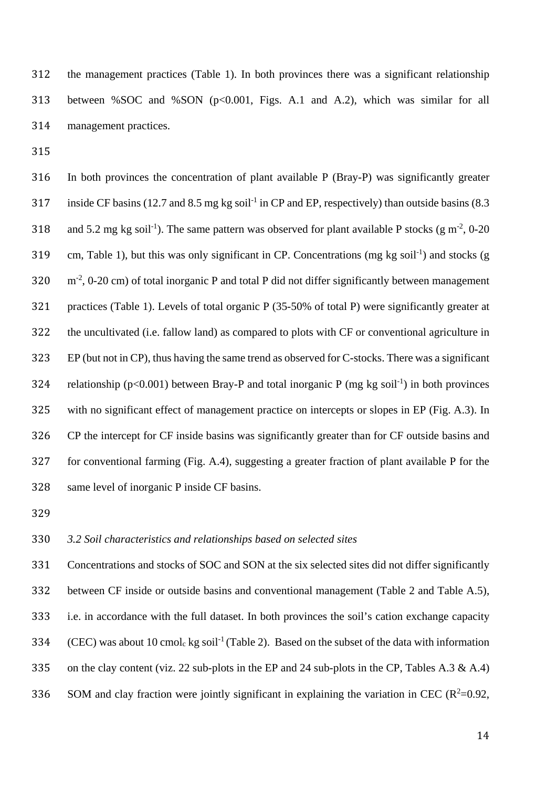the management practices (Table 1). In both provinces there was a significant relationship between %SOC and %SON (p<0.001, Figs. A.1 and A.2), which was similar for all management practices.

 In both provinces the concentration of plant available P (Bray-P) was significantly greater 317 inside CF basins (12.7 and 8.5 mg kg soil<sup>-1</sup> in CP and EP, respectively) than outside basins (8.3 318 and 5.2 mg kg soil<sup>-1</sup>). The same pattern was observed for plant available P stocks (g m<sup>-2</sup>, 0-20 319 cm, Table 1), but this was only significant in CP. Concentrations (mg kg soil<sup>-1</sup>) and stocks (g  $320 \text{ m}^2$ , 0-20 cm) of total inorganic P and total P did not differ significantly between management practices (Table 1). Levels of total organic P (35-50% of total P) were significantly greater at the uncultivated (i.e. fallow land) as compared to plots with CF or conventional agriculture in EP (but not in CP), thus having the same trend as observed for C-stocks. There was a significant 324 relationship ( $p<0.001$ ) between Bray-P and total inorganic P (mg kg soil<sup>-1</sup>) in both provinces with no significant effect of management practice on intercepts or slopes in EP (Fig. A.3). In CP the intercept for CF inside basins was significantly greater than for CF outside basins and for conventional farming (Fig. A.4), suggesting a greater fraction of plant available P for the same level of inorganic P inside CF basins.

## *3.2 Soil characteristics and relationships based on selected sites*

 Concentrations and stocks of SOC and SON at the six selected sites did not differ significantly between CF inside or outside basins and conventional management (Table 2 and Table A.5), i.e. in accordance with the full dataset. In both provinces the soil's cation exchange capacity 334 (CEC) was about 10 cmol<sub>c</sub> kg soil<sup>-1</sup> (Table 2). Based on the subset of the data with information 335 on the clay content (viz. 22 sub-plots in the EP and 24 sub-plots in the CP, Tables A.3 & A.4) SOM and clay fraction were jointly significant in explaining the variation in CEC ( $R^2$ =0.92,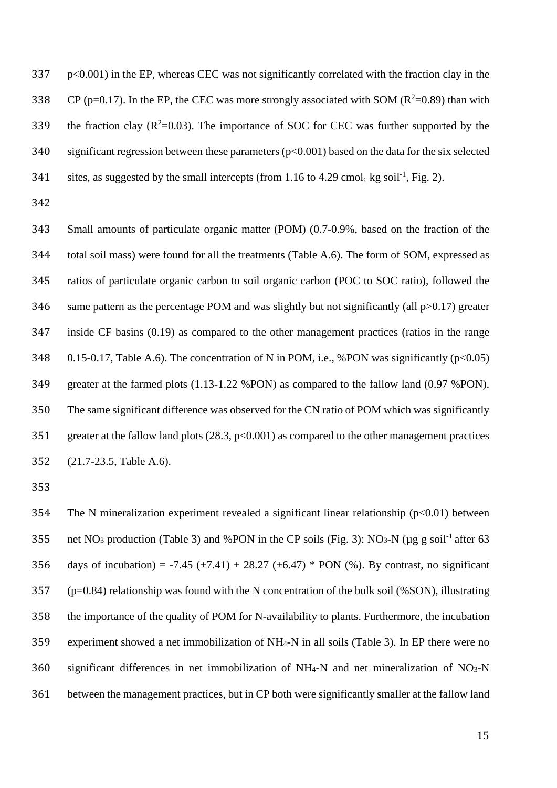p<0.001) in the EP, whereas CEC was not significantly correlated with the fraction clay in the 338 CP (p=0.17). In the EP, the CEC was more strongly associated with SOM ( $R^2$ =0.89) than with 339 the fraction clay  $(R^2=0.03)$ . The importance of SOC for CEC was further supported by the 340 significant regression between these parameters ( $p<0.001$ ) based on the data for the six selected 341 sites, as suggested by the small intercepts (from 1.16 to 4.29 cmole kg soil<sup>-1</sup>, Fig. 2).

 Small amounts of particulate organic matter (POM) (0.7-0.9%, based on the fraction of the total soil mass) were found for all the treatments (Table A.6). The form of SOM, expressed as ratios of particulate organic carbon to soil organic carbon (POC to SOC ratio), followed the 346 same pattern as the percentage POM and was slightly but not significantly (all  $p>0.17$ ) greater inside CF basins (0.19) as compared to the other management practices (ratios in the range 348 0.15-0.17, Table A.6). The concentration of N in POM, i.e., %PON was significantly ( $p<0.05$ ) greater at the farmed plots (1.13-1.22 %PON) as compared to the fallow land (0.97 %PON). The same significant difference was observed for the CN ratio of POM which was significantly 351 greater at the fallow land plots (28.3, p<0.001) as compared to the other management practices (21.7-23.5, Table A.6).

354 The N mineralization experiment revealed a significant linear relationship ( $p<0.01$ ) between 355 net NO<sub>3</sub> production (Table 3) and %PON in the CP soils (Fig. 3): NO<sub>3</sub>-N ( $\mu$ g g soil<sup>-1</sup> after 63 356 days of incubation) = -7.45 ( $\pm$ 7.41) + 28.27 ( $\pm$ 6.47) \* PON (%). By contrast, no significant (p=0.84) relationship was found with the N concentration of the bulk soil (%SON), illustrating the importance of the quality of POM for N-availability to plants. Furthermore, the incubation experiment showed a net immobilization of NH4-N in all soils (Table 3). In EP there were no significant differences in net immobilization of NH4-N and net mineralization of NO3-N between the management practices, but in CP both were significantly smaller at the fallow land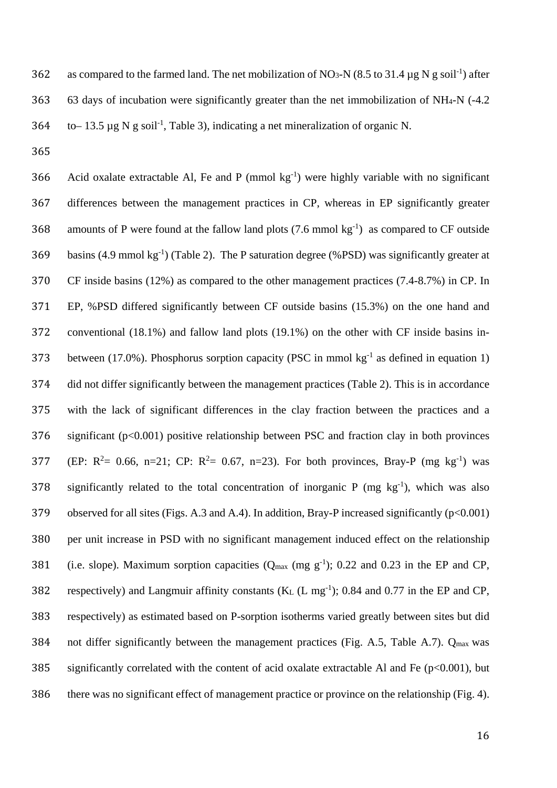362 as compared to the farmed land. The net mobilization of NO<sub>3</sub>-N (8.5 to 31.4 µg N g soil<sup>-1</sup>) after 363 63 days of incubation were significantly greater than the net immobilization of NH4-N (-4.2 364 to– 13.5 µg N g soil<sup>-1</sup>, Table 3), indicating a net mineralization of organic N.

365

366 Acid oxalate extractable Al, Fe and P (mmol  $kg^{-1}$ ) were highly variable with no significant 367 differences between the management practices in CP, whereas in EP significantly greater 368 amounts of P were found at the fallow land plots  $(7.6 \text{ mmol kg}^{-1})$  as compared to CF outside 369 basins (4.9 mmol kg<sup>-1</sup>) (Table 2). The P saturation degree (%PSD) was significantly greater at 370 CF inside basins (12%) as compared to the other management practices (7.4-8.7%) in CP. In 371 EP, %PSD differed significantly between CF outside basins (15.3%) on the one hand and 372 conventional (18.1%) and fallow land plots (19.1%) on the other with CF inside basins in-373 between (17.0%). Phosphorus sorption capacity (PSC in mmol  $kg^{-1}$  as defined in equation 1) 374 did not differ significantly between the management practices (Table 2). This is in accordance 375 with the lack of significant differences in the clay fraction between the practices and a 376 significant (p<0.001) positive relationship between PSC and fraction clay in both provinces 377 (EP:  $R^2 = 0.66$ , n=21; CP:  $R^2 = 0.67$ , n=23). For both provinces, Bray-P (mg kg<sup>-1</sup>) was 378 significantly related to the total concentration of inorganic P (mg  $kg^{-1}$ ), which was also 379 observed for all sites (Figs. A.3 and A.4). In addition, Bray-P increased significantly (p<0.001) 380 per unit increase in PSD with no significant management induced effect on the relationship 381 (i.e. slope). Maximum sorption capacities  $(Q_{max} (mg g^{-1})$ ; 0.22 and 0.23 in the EP and CP, 382 respectively) and Langmuir affinity constants  $(K_L (L mg^{-1})$ ; 0.84 and 0.77 in the EP and CP, 383 respectively) as estimated based on P-sorption isotherms varied greatly between sites but did 384 not differ significantly between the management practices (Fig. A.5, Table A.7).  $Q_{\text{max}}$  was 385 significantly correlated with the content of acid oxalate extractable Al and Fe ( $p<0.001$ ), but 386 there was no significant effect of management practice or province on the relationship (Fig. 4).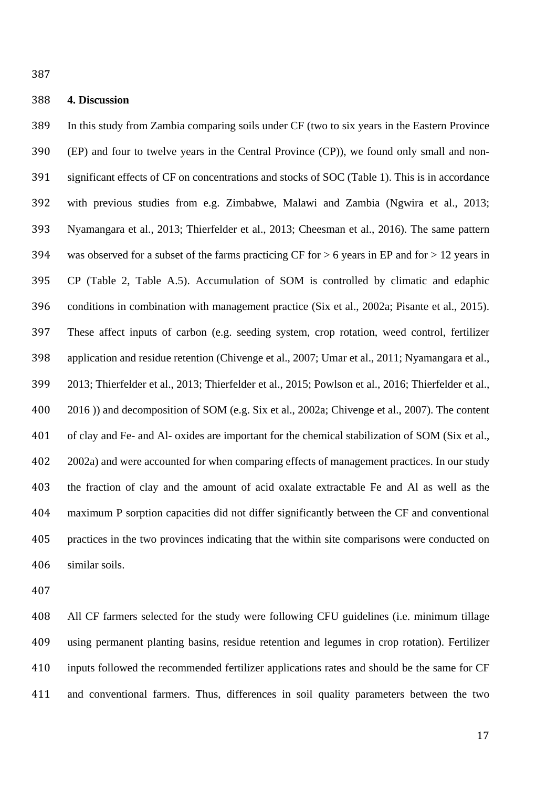#### **4. Discussion**

 In this study from Zambia comparing soils under CF (two to six years in the Eastern Province (EP) and four to twelve years in the Central Province (CP)), we found only small and non- significant effects of CF on concentrations and stocks of SOC (Table 1). This is in accordance with previous studies from e.g. Zimbabwe, Malawi and Zambia (Ngwira et al., 2013; Nyamangara et al., 2013; Thierfelder et al., 2013; Cheesman et al., 2016). The same pattern 394 was observed for a subset of the farms practicing CF for  $> 6$  years in EP and for  $> 12$  years in CP (Table 2, Table A.5). Accumulation of SOM is controlled by climatic and edaphic conditions in combination with management practice (Six et al., 2002a; Pisante et al., 2015). These affect inputs of carbon (e.g. seeding system, crop rotation, weed control, fertilizer application and residue retention (Chivenge et al., 2007; Umar et al., 2011; Nyamangara et al., 2013; Thierfelder et al., 2013; Thierfelder et al., 2015; Powlson et al., 2016; Thierfelder et al., 2016 )) and decomposition of SOM (e.g. Six et al., 2002a; Chivenge et al., 2007). The content of clay and Fe- and Al- oxides are important for the chemical stabilization of SOM (Six et al., 2002a) and were accounted for when comparing effects of management practices. In our study the fraction of clay and the amount of acid oxalate extractable Fe and Al as well as the maximum P sorption capacities did not differ significantly between the CF and conventional practices in the two provinces indicating that the within site comparisons were conducted on similar soils.

 All CF farmers selected for the study were following CFU guidelines (i.e. minimum tillage using permanent planting basins, residue retention and legumes in crop rotation). Fertilizer inputs followed the recommended fertilizer applications rates and should be the same for CF and conventional farmers. Thus, differences in soil quality parameters between the two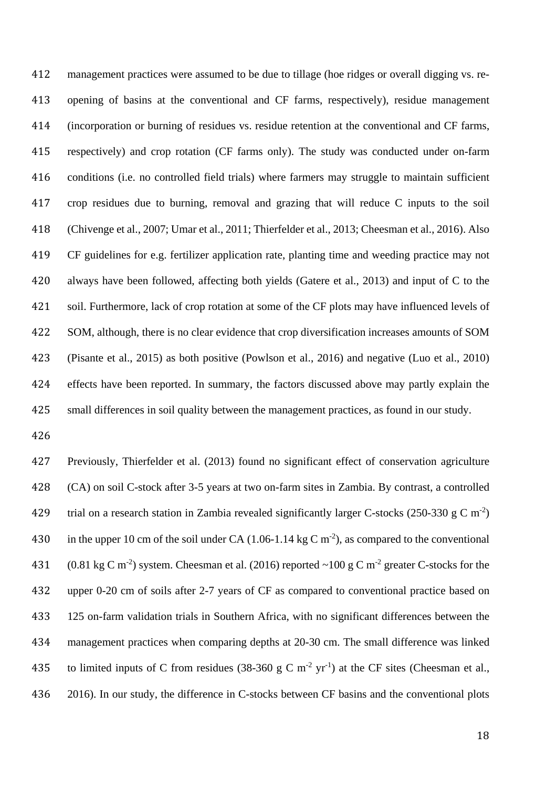management practices were assumed to be due to tillage (hoe ridges or overall digging vs. re- opening of basins at the conventional and CF farms, respectively), residue management (incorporation or burning of residues vs. residue retention at the conventional and CF farms, respectively) and crop rotation (CF farms only). The study was conducted under on-farm conditions (i.e. no controlled field trials) where farmers may struggle to maintain sufficient crop residues due to burning, removal and grazing that will reduce C inputs to the soil (Chivenge et al., 2007; Umar et al., 2011; Thierfelder et al., 2013; Cheesman et al., 2016). Also CF guidelines for e.g. fertilizer application rate, planting time and weeding practice may not always have been followed, affecting both yields (Gatere et al., 2013) and input of C to the soil. Furthermore, lack of crop rotation at some of the CF plots may have influenced levels of SOM, although, there is no clear evidence that crop diversification increases amounts of SOM (Pisante et al., 2015) as both positive (Powlson et al., 2016) and negative (Luo et al., 2010) effects have been reported. In summary, the factors discussed above may partly explain the small differences in soil quality between the management practices, as found in our study.

 Previously, Thierfelder et al. (2013) found no significant effect of conservation agriculture (CA) on soil C-stock after 3-5 years at two on-farm sites in Zambia. By contrast, a controlled 429 trial on a research station in Zambia revealed significantly larger C-stocks (250-330 g C m<sup>-2</sup>) 430 in the upper 10 cm of the soil under CA (1.06-1.14 kg C m<sup>-2</sup>), as compared to the conventional 431 (0.81 kg C m<sup>-2</sup>) system. Cheesman et al. (2016) reported ~100 g C m<sup>-2</sup> greater C-stocks for the upper 0-20 cm of soils after 2-7 years of CF as compared to conventional practice based on 125 on-farm validation trials in Southern Africa, with no significant differences between the management practices when comparing depths at 20-30 cm. The small difference was linked 435 to limited inputs of C from residues (38-360 g C m<sup>-2</sup> yr<sup>-1</sup>) at the CF sites (Cheesman et al., 2016). In our study, the difference in C-stocks between CF basins and the conventional plots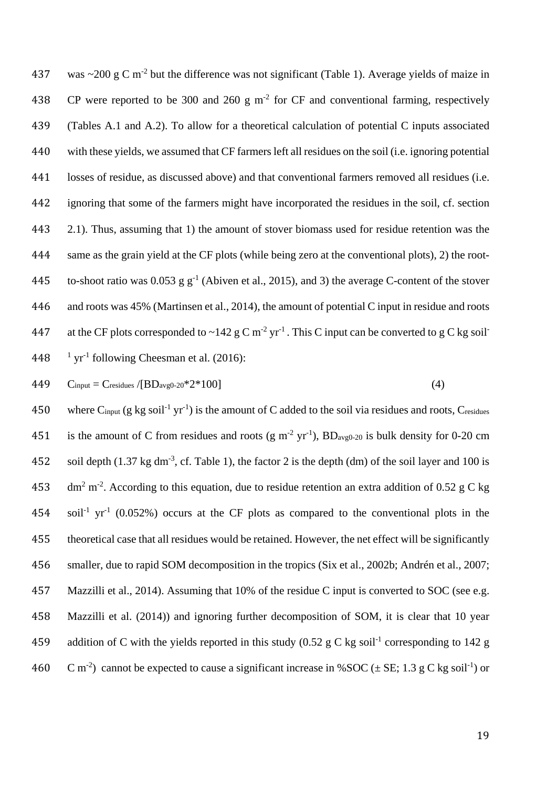437 was  $\sim$ 200 g C m<sup>-2</sup> but the difference was not significant (Table 1). Average yields of maize in 438 CP were reported to be 300 and 260 g  $m<sup>2</sup>$  for CF and conventional farming, respectively (Tables A.1 and A.2). To allow for a theoretical calculation of potential C inputs associated with these yields, we assumed that CF farmers left all residues on the soil (i.e. ignoring potential losses of residue, as discussed above) and that conventional farmers removed all residues (i.e. ignoring that some of the farmers might have incorporated the residues in the soil, cf. section 2.1). Thus, assuming that 1) the amount of stover biomass used for residue retention was the same as the grain yield at the CF plots (while being zero at the conventional plots), 2) the root-445 to-shoot ratio was 0.053 g  $g^{-1}$  (Abiven et al., 2015), and 3) the average C-content of the stover and roots was 45% (Martinsen et al., 2014), the amount of potential C input in residue and roots 447 at the CF plots corresponded to  $\sim$ 142 g C m<sup>-2</sup> yr<sup>-1</sup>. This C input can be converted to g C kg soil<sup>-1</sup>  $\frac{1}{1}$  yr<sup>-1</sup> following Cheesman et al. (2016):

$$
449 \tC_{input} = C_{residues} / [BD_{avg0-20} * 2 * 100]
$$
\n
$$
(4)
$$

450 where C<sub>input</sub> (g kg soil<sup>-1</sup> yr<sup>-1</sup>) is the amount of C added to the soil via residues and roots, Cresidues 451 is the amount of C from residues and roots (g m<sup>-2</sup> yr<sup>-1</sup>), BD<sub>avg0-20</sub> is bulk density for 0-20 cm 452 soil depth (1.37 kg dm<sup>-3</sup>, cf. Table 1), the factor 2 is the depth (dm) of the soil layer and 100 is 453  $\text{dm}^2$  m<sup>-2</sup>. According to this equation, due to residue retention an extra addition of 0.52 g C kg 454 soil<sup>-1</sup> yr<sup>-1</sup> (0.052%) occurs at the CF plots as compared to the conventional plots in the 455 theoretical case that all residues would be retained. However, the net effect will be significantly 456 smaller, due to rapid SOM decomposition in the tropics (Six et al., 2002b; Andrén et al., 2007; 457 Mazzilli et al., 2014). Assuming that 10% of the residue C input is converted to SOC (see e.g. 458 Mazzilli et al. (2014)) and ignoring further decomposition of SOM, it is clear that 10 year 459 addition of C with the yields reported in this study (0.52 g C kg soil<sup>-1</sup> corresponding to 142 g 460 C m<sup>-2</sup>) cannot be expected to cause a significant increase in %SOC ( $\pm$  SE; 1.3 g C kg soil<sup>-1</sup>) or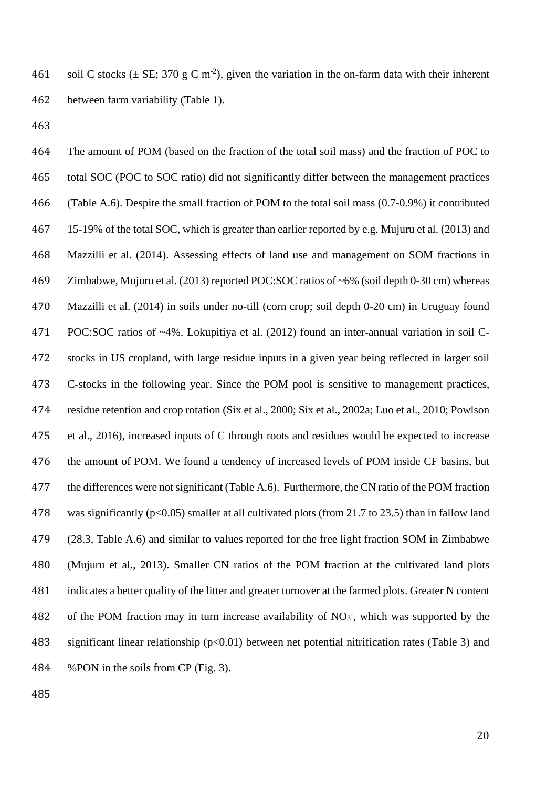461 soil C stocks ( $\pm$  SE; 370 g C m<sup>-2</sup>), given the variation in the on-farm data with their inherent between farm variability (Table 1).

 The amount of POM (based on the fraction of the total soil mass) and the fraction of POC to total SOC (POC to SOC ratio) did not significantly differ between the management practices (Table A.6). Despite the small fraction of POM to the total soil mass (0.7-0.9%) it contributed 15-19% of the total SOC, which is greater than earlier reported by e.g. Mujuru et al. (2013) and Mazzilli et al. (2014). Assessing effects of land use and management on SOM fractions in Zimbabwe, Mujuru et al. (2013) reported POC:SOC ratios of ~6% (soil depth 0-30 cm) whereas Mazzilli et al. (2014) in soils under no-till (corn crop; soil depth 0-20 cm) in Uruguay found POC:SOC ratios of ~4%. Lokupitiya et al. (2012) found an inter-annual variation in soil C- stocks in US cropland, with large residue inputs in a given year being reflected in larger soil C-stocks in the following year. Since the POM pool is sensitive to management practices, residue retention and crop rotation (Six et al., 2000; Six et al., 2002a; Luo et al., 2010; Powlson et al., 2016), increased inputs of C through roots and residues would be expected to increase the amount of POM. We found a tendency of increased levels of POM inside CF basins, but the differences were not significant (Table A.6). Furthermore, the CN ratio of the POM fraction was significantly (p<0.05) smaller at all cultivated plots (from 21.7 to 23.5) than in fallow land (28.3, Table A.6) and similar to values reported for the free light fraction SOM in Zimbabwe (Mujuru et al., 2013). Smaller CN ratios of the POM fraction at the cultivated land plots indicates a better quality of the litter and greater turnover at the farmed plots. Greater N content 482 of the POM fraction may in turn increase availability of NO<sub>3</sub>, which was supported by the significant linear relationship (p<0.01) between net potential nitrification rates (Table 3) and %PON in the soils from CP (Fig. 3).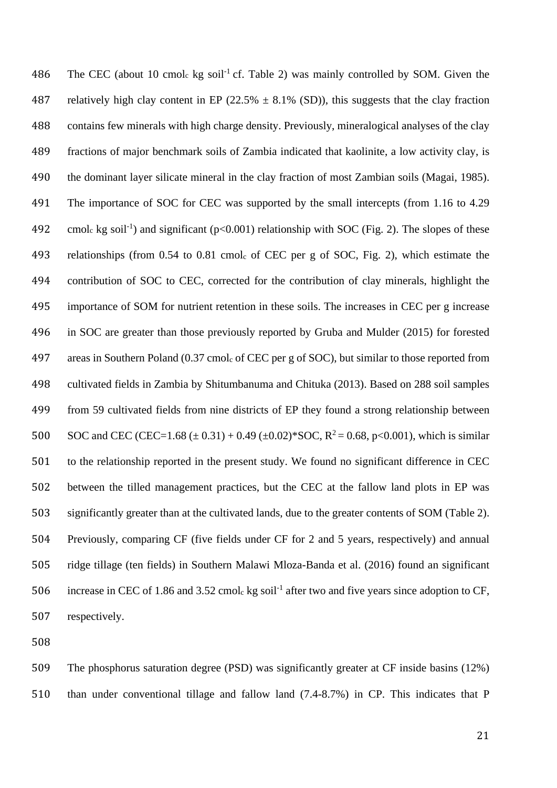486 The CEC (about 10 cmol<sub>c</sub> kg soil<sup>-1</sup> cf. Table 2) was mainly controlled by SOM. Given the 487 relatively high clay content in EP (22.5%  $\pm$  8.1% (SD)), this suggests that the clay fraction contains few minerals with high charge density. Previously, mineralogical analyses of the clay fractions of major benchmark soils of Zambia indicated that kaolinite, a low activity clay, is the dominant layer silicate mineral in the clay fraction of most Zambian soils (Magai, 1985). The importance of SOC for CEC was supported by the small intercepts (from 1.16 to 4.29 492 cmol<sub>c</sub> kg soil<sup>-1</sup>) and significant ( $p<0.001$ ) relationship with SOC (Fig. 2). The slopes of these relationships (from 0.54 to 0.81 cmolc of CEC per g of SOC, Fig. 2), which estimate the contribution of SOC to CEC, corrected for the contribution of clay minerals, highlight the importance of SOM for nutrient retention in these soils. The increases in CEC per g increase in SOC are greater than those previously reported by Gruba and Mulder (2015) for forested areas in Southern Poland (0.37 cmolc of CEC per g of SOC), but similar to those reported from cultivated fields in Zambia by Shitumbanuma and Chituka (2013). Based on 288 soil samples from 59 cultivated fields from nine districts of EP they found a strong relationship between 500 SOC and CEC (CEC=1.68 ( $\pm$  0.31) + 0.49 ( $\pm$ 0.02)\*SOC, R<sup>2</sup> = 0.68, p<0.001), which is similar to the relationship reported in the present study. We found no significant difference in CEC between the tilled management practices, but the CEC at the fallow land plots in EP was significantly greater than at the cultivated lands, due to the greater contents of SOM (Table 2). Previously, comparing CF (five fields under CF for 2 and 5 years, respectively) and annual ridge tillage (ten fields) in Southern Malawi Mloza-Banda et al. (2016) found an significant 506 increase in CEC of 1.86 and 3.52 cmole kg soil<sup>-1</sup> after two and five years since adoption to CF, respectively.

 The phosphorus saturation degree (PSD) was significantly greater at CF inside basins (12%) than under conventional tillage and fallow land (7.4-8.7%) in CP. This indicates that P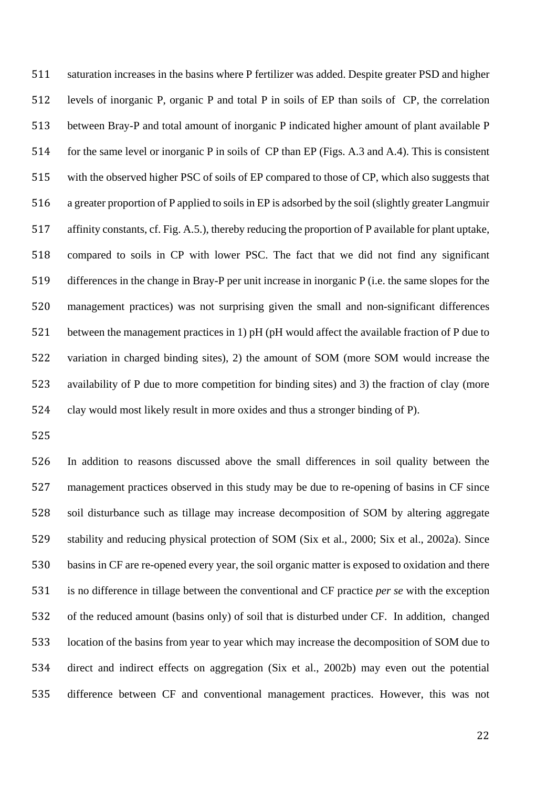saturation increases in the basins where P fertilizer was added. Despite greater PSD and higher levels of inorganic P, organic P and total P in soils of EP than soils of CP, the correlation between Bray-P and total amount of inorganic P indicated higher amount of plant available P for the same level or inorganic P in soils of CP than EP (Figs. A.3 and A.4). This is consistent with the observed higher PSC of soils of EP compared to those of CP, which also suggests that a greater proportion of P applied to soils in EP is adsorbed by the soil (slightly greater Langmuir affinity constants, cf. Fig. A.5.), thereby reducing the proportion of P available for plant uptake, compared to soils in CP with lower PSC. The fact that we did not find any significant differences in the change in Bray-P per unit increase in inorganic P (i.e. the same slopes for the management practices) was not surprising given the small and non-significant differences between the management practices in 1) pH (pH would affect the available fraction of P due to variation in charged binding sites), 2) the amount of SOM (more SOM would increase the availability of P due to more competition for binding sites) and 3) the fraction of clay (more clay would most likely result in more oxides and thus a stronger binding of P).

 In addition to reasons discussed above the small differences in soil quality between the management practices observed in this study may be due to re-opening of basins in CF since soil disturbance such as tillage may increase decomposition of SOM by altering aggregate stability and reducing physical protection of SOM (Six et al., 2000; Six et al., 2002a). Since basins in CF are re-opened every year, the soil organic matter is exposed to oxidation and there is no difference in tillage between the conventional and CF practice *per se* with the exception of the reduced amount (basins only) of soil that is disturbed under CF. In addition, changed location of the basins from year to year which may increase the decomposition of SOM due to direct and indirect effects on aggregation (Six et al., 2002b) may even out the potential difference between CF and conventional management practices. However, this was not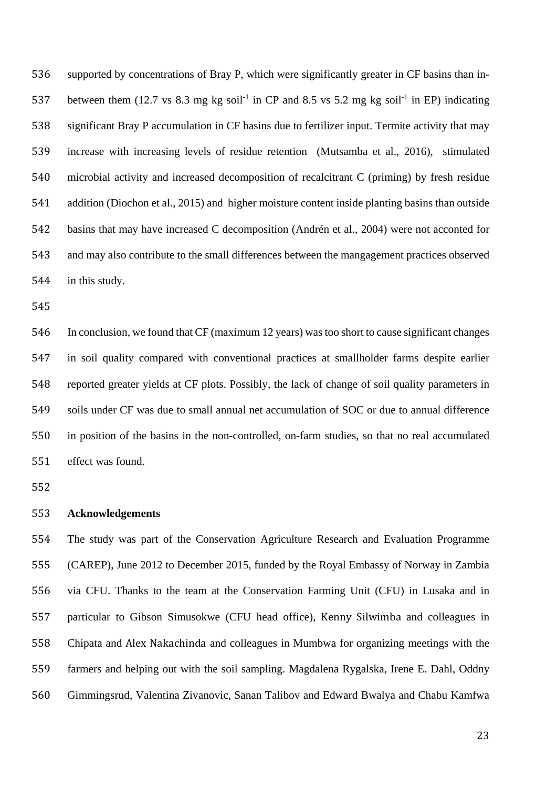supported by concentrations of Bray P, which were significantly greater in CF basins than in-537 between them (12.7 vs 8.3 mg kg soil<sup>-1</sup> in CP and 8.5 vs 5.2 mg kg soil<sup>-1</sup> in EP) indicating significant Bray P accumulation in CF basins due to fertilizer input. Termite activity that may increase with increasing levels of residue retention (Mutsamba et al., 2016), stimulated microbial activity and increased decomposition of recalcitrant C (priming) by fresh residue addition (Diochon et al., 2015) and higher moisture content inside planting basins than outside basins that may have increased C decomposition (Andrén et al., 2004) were not acconted for and may also contribute to the small differences between the mangagement practices observed in this study.

 In conclusion, we found that CF (maximum 12 years) was too short to cause significant changes in soil quality compared with conventional practices at smallholder farms despite earlier reported greater yields at CF plots. Possibly, the lack of change of soil quality parameters in soils under CF was due to small annual net accumulation of SOC or due to annual difference in position of the basins in the non-controlled, on-farm studies, so that no real accumulated effect was found.

## **Acknowledgements**

 The study was part of the Conservation Agriculture Research and Evaluation Programme (CAREP), June 2012 to December 2015, funded by the Royal Embassy of Norway in Zambia via CFU. Thanks to the team at the Conservation Farming Unit (CFU) in Lusaka and in particular to Gibson Simusokwe (CFU head office), Kenny Silwimba and colleagues in Chipata and Alex Nakachinda and colleagues in Mumbwa for organizing meetings with the farmers and helping out with the soil sampling. Magdalena Rygalska, Irene E. Dahl, Oddny Gimmingsrud, Valentina Zivanovic, Sanan Talibov and Edward Bwalya and Chabu Kamfwa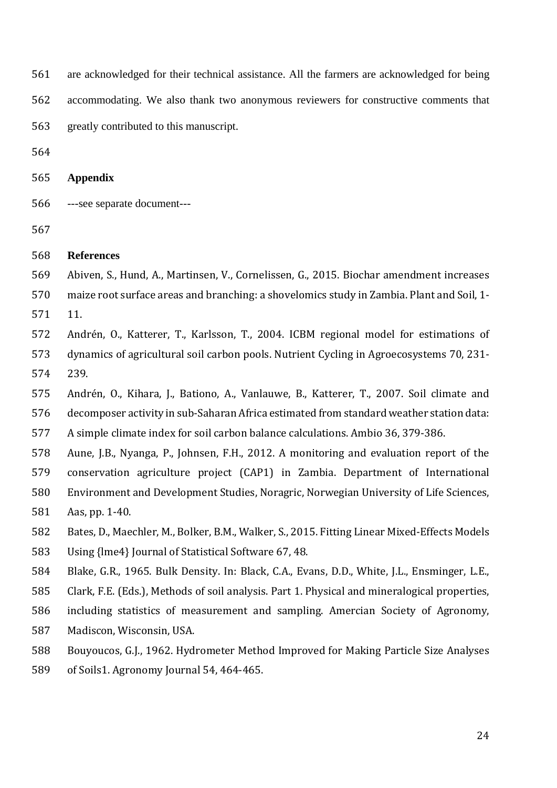are acknowledged for their technical assistance. All the farmers are acknowledged for being

accommodating. We also thank two anonymous reviewers for constructive comments that

greatly contributed to this manuscript.

**Appendix** 

- ---see separate document---
- 

## **References**

- Abiven, S., Hund, A., Martinsen, V., Cornelissen, G., 2015. Biochar amendment increases
- maize root surface areas and branching: a shovelomics study in Zambia. Plant and Soil, 1-
- 11.
- Andrén, O., Katterer, T., Karlsson, T., 2004. ICBM regional model for estimations of dynamics of agricultural soil carbon pools. Nutrient Cycling in Agroecosystems 70, 231- 239.
- Andrén, O., Kihara, J., Bationo, A., Vanlauwe, B., Katterer, T., 2007. Soil climate and
- decomposer activity in sub-Saharan Africa estimated from standard weather station data:
- A simple climate index for soil carbon balance calculations. Ambio 36, 379-386.
- Aune, J.B., Nyanga, P., Johnsen, F.H., 2012. A monitoring and evaluation report of the
- conservation agriculture project (CAP1) in Zambia. Department of International
- Environment and Development Studies, Noragric, Norwegian University of Life Sciences, Aas, pp. 1-40.
- Bates, D., Maechler, M., Bolker, B.M., Walker, S., 2015. Fitting Linear Mixed-Effects Models
- Using {lme4} Journal of Statistical Software 67, 48.
- Blake, G.R., 1965. Bulk Density. In: Black, C.A., Evans, D.D., White, J.L., Ensminger, L.E.,
- Clark, F.E. (Eds.), Methods of soil analysis. Part 1. Physical and mineralogical properties,
- including statistics of measurement and sampling. Amercian Society of Agronomy, Madiscon, Wisconsin, USA.
- Bouyoucos, G.J., 1962. Hydrometer Method Improved for Making Particle Size Analyses
- of Soils1. Agronomy Journal 54, 464-465.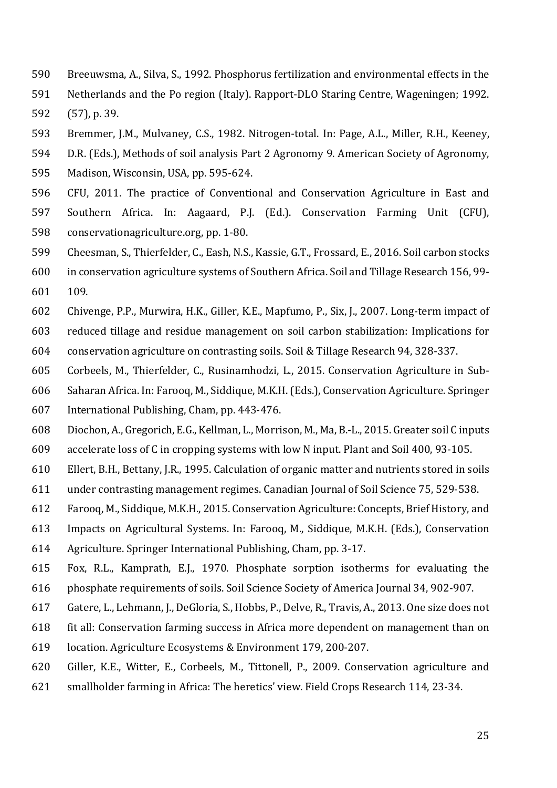- Breeuwsma, A., Silva, S., 1992. Phosphorus fertilization and environmental effects in the
- Netherlands and the Po region (Italy). Rapport-DLO Staring Centre, Wageningen; 1992.
- (57), p. 39.
- Bremmer, J.M., Mulvaney, C.S., 1982. Nitrogen-total. In: Page, A.L., Miller, R.H., Keeney,
- D.R. (Eds.), Methods of soil analysis Part 2 Agronomy 9. American Society of Agronomy,
- Madison, Wisconsin, USA, pp. 595-624.
- CFU, 2011. The practice of Conventional and Conservation Agriculture in East and Southern Africa. In: Aagaard, P.J. (Ed.). Conservation Farming Unit (CFU), conservationagriculture.org, pp. 1-80.
- Cheesman, S., Thierfelder, C., Eash, N.S., Kassie, G.T., Frossard, E., 2016. Soil carbon stocks
- in conservation agriculture systems of Southern Africa. Soil and Tillage Research 156, 99- 109.
- Chivenge, P.P., Murwira, H.K., Giller, K.E., Mapfumo, P., Six, J., 2007. Long-term impact of
- reduced tillage and residue management on soil carbon stabilization: Implications for conservation agriculture on contrasting soils. Soil & Tillage Research 94, 328-337.
- Corbeels, M., Thierfelder, C., Rusinamhodzi, L., 2015. Conservation Agriculture in Sub-
- Saharan Africa. In: Farooq, M., Siddique, M.K.H. (Eds.), Conservation Agriculture. Springer
- International Publishing, Cham, pp. 443-476.
- Diochon, A., Gregorich, E.G., Kellman, L., Morrison, M., Ma, B.-L., 2015. Greater soil C inputs
- accelerate loss of C in cropping systems with low N input. Plant and Soil 400, 93-105.
- Ellert, B.H., Bettany, J.R., 1995. Calculation of organic matter and nutrients stored in soils
- under contrasting management regimes. Canadian Journal of Soil Science 75, 529-538.
- Farooq, M., Siddique, M.K.H., 2015. Conservation Agriculture: Concepts, Brief History, and
- Impacts on Agricultural Systems. In: Farooq, M., Siddique, M.K.H. (Eds.), Conservation
- Agriculture. Springer International Publishing, Cham, pp. 3-17.
- Fox, R.L., Kamprath, E.J., 1970. Phosphate sorption isotherms for evaluating the phosphate requirements of soils. Soil Science Society of America Journal 34, 902-907.
- Gatere, L., Lehmann, J., DeGloria, S., Hobbs, P., Delve, R., Travis, A., 2013. One size does not
- fit all: Conservation farming success in Africa more dependent on management than on
- location. Agriculture Ecosystems & Environment 179, 200-207.
- Giller, K.E., Witter, E., Corbeels, M., Tittonell, P., 2009. Conservation agriculture and
- smallholder farming in Africa: The heretics' view. Field Crops Research 114, 23-34.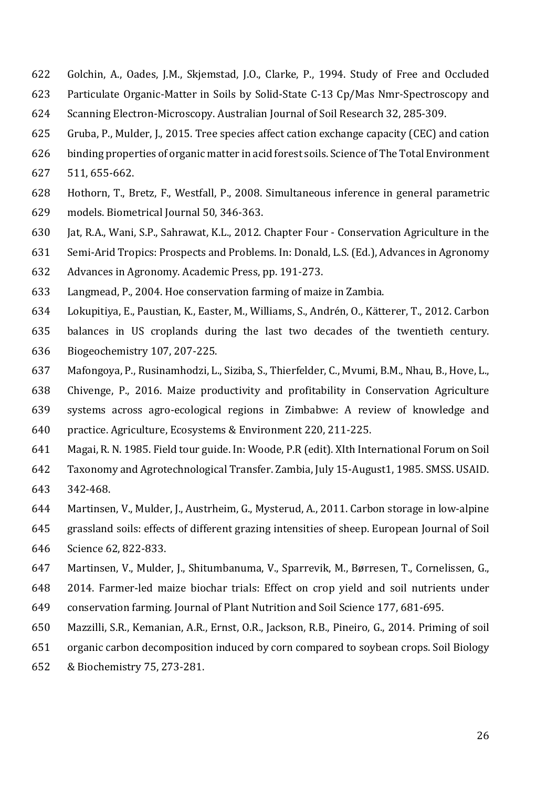- Golchin, A., Oades, J.M., Skjemstad, J.O., Clarke, P., 1994. Study of Free and Occluded
- Particulate Organic-Matter in Soils by Solid-State C-13 Cp/Mas Nmr-Spectroscopy and
- Scanning Electron-Microscopy. Australian Journal of Soil Research 32, 285-309.
- Gruba, P., Mulder, J., 2015. Tree species affect cation exchange capacity (CEC) and cation
- binding properties of organic matter in acid forest soils. Science of The Total Environment
- 511, 655-662.
- Hothorn, T., Bretz, F., Westfall, P., 2008. Simultaneous inference in general parametric
- models. Biometrical Journal 50, 346-363.
- Jat, R.A., Wani, S.P., Sahrawat, K.L., 2012. Chapter Four Conservation Agriculture in the
- Semi-Arid Tropics: Prospects and Problems. In: Donald, L.S. (Ed.), Advances in Agronomy
- Advances in Agronomy. Academic Press, pp. 191-273.
- Langmead, P., 2004. Hoe conservation farming of maize in Zambia.
- Lokupitiya, E., Paustian, K., Easter, M., Williams, S., Andrén, O., Kätterer, T., 2012. Carbon
- balances in US croplands during the last two decades of the twentieth century. Biogeochemistry 107, 207-225.
- Mafongoya, P., Rusinamhodzi, L., Siziba, S., Thierfelder, C., Mvumi, B.M., Nhau, B., Hove, L.,
- Chivenge, P., 2016. Maize productivity and profitability in Conservation Agriculture
- systems across agro-ecological regions in Zimbabwe: A review of knowledge and
- practice. Agriculture, Ecosystems & Environment 220, 211-225.
- Magai, R. N. 1985. Field tour guide. In: Woode, P.R (edit). XIth International Forum on Soil
- Taxonomy and Agrotechnological Transfer. Zambia, July 15-August1, 1985. SMSS. USAID. 342-468.
- Martinsen, V., Mulder, J., Austrheim, G., Mysterud, A., 2011. Carbon storage in low-alpine
- grassland soils: effects of different grazing intensities of sheep. European Journal of Soil
- Science 62, 822-833.
- Martinsen, V., Mulder, J., Shitumbanuma, V., Sparrevik, M., Børresen, T., Cornelissen, G.,
- 2014. Farmer-led maize biochar trials: Effect on crop yield and soil nutrients under
- conservation farming. Journal of Plant Nutrition and Soil Science 177, 681-695.
- Mazzilli, S.R., Kemanian, A.R., Ernst, O.R., Jackson, R.B., Pineiro, G., 2014. Priming of soil
- organic carbon decomposition induced by corn compared to soybean crops. Soil Biology
- & Biochemistry 75, 273-281.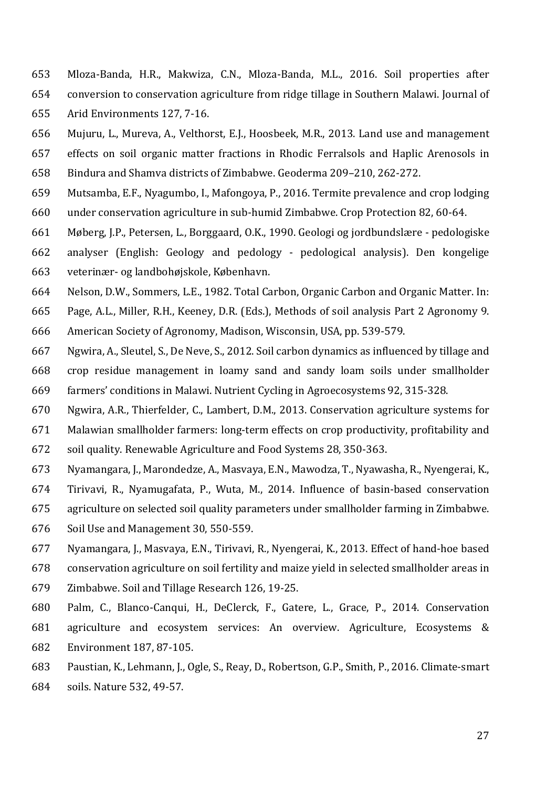- Mloza-Banda, H.R., Makwiza, C.N., Mloza-Banda, M.L., 2016. Soil properties after conversion to conservation agriculture from ridge tillage in Southern Malawi. Journal of Arid Environments 127, 7-16.
- Mujuru, L., Mureva, A., Velthorst, E.J., Hoosbeek, M.R., 2013. Land use and management effects on soil organic matter fractions in Rhodic Ferralsols and Haplic Arenosols in Bindura and Shamva districts of Zimbabwe. Geoderma 209–210, 262-272.
- Mutsamba, E.F., Nyagumbo, I., Mafongoya, P., 2016. Termite prevalence and crop lodging
- under conservation agriculture in sub-humid Zimbabwe. Crop Protection 82, 60-64.
- Møberg, J.P., Petersen, L., Borggaard, O.K., 1990. Geologi og jordbundslære pedologiske analyser (English: Geology and pedology - pedological analysis). Den kongelige veterinær- og landbohøjskole, København.
- Nelson, D.W., Sommers, L.E., 1982. Total Carbon, Organic Carbon and Organic Matter. In:
- Page, A.L., Miller, R.H., Keeney, D.R. (Eds.), Methods of soil analysis Part 2 Agronomy 9. American Society of Agronomy, Madison, Wisconsin, USA, pp. 539-579.
- Ngwira, A., Sleutel, S., De Neve, S., 2012. Soil carbon dynamics as influenced by tillage and crop residue management in loamy sand and sandy loam soils under smallholder farmers' conditions in Malawi. Nutrient Cycling in Agroecosystems 92, 315-328.
- Ngwira, A.R., Thierfelder, C., Lambert, D.M., 2013. Conservation agriculture systems for
- Malawian smallholder farmers: long-term effects on crop productivity, profitability and soil quality. Renewable Agriculture and Food Systems 28, 350-363.
- Nyamangara, J., Marondedze, A., Masvaya, E.N., Mawodza, T., Nyawasha, R., Nyengerai, K.,
- Tirivavi, R., Nyamugafata, P., Wuta, M., 2014. Influence of basin-based conservation
- agriculture on selected soil quality parameters under smallholder farming in Zimbabwe.
- Soil Use and Management 30, 550-559.
- Nyamangara, J., Masvaya, E.N., Tirivavi, R., Nyengerai, K., 2013. Effect of hand-hoe based
- conservation agriculture on soil fertility and maize yield in selected smallholder areas in
- Zimbabwe. Soil and Tillage Research 126, 19-25.
- Palm, C., Blanco-Canqui, H., DeClerck, F., Gatere, L., Grace, P., 2014. Conservation agriculture and ecosystem services: An overview. Agriculture, Ecosystems & Environment 187, 87-105.
- Paustian, K., Lehmann, J., Ogle, S., Reay, D., Robertson, G.P., Smith, P., 2016. Climate-smart
- soils. Nature 532, 49-57.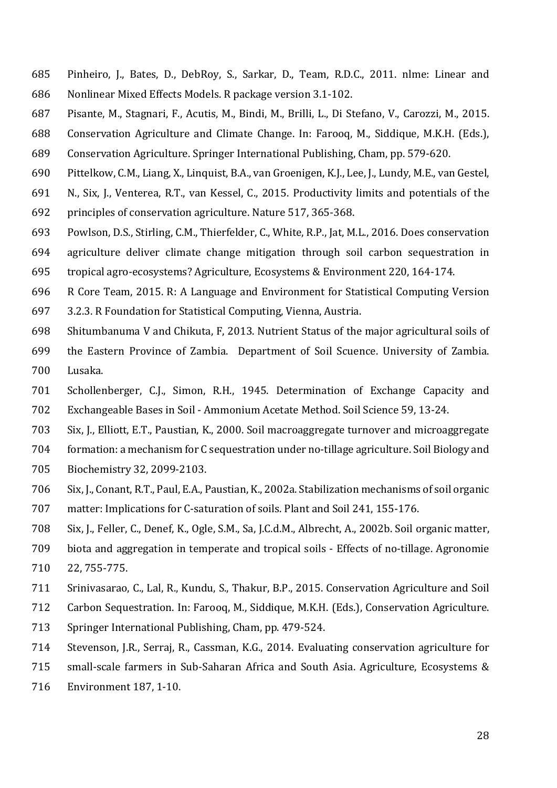- Pinheiro, J., Bates, D., DebRoy, S., Sarkar, D., Team, R.D.C., 2011. nlme: Linear and Nonlinear Mixed Effects Models. R package version 3.1-102.
- Pisante, M., Stagnari, F., Acutis, M., Bindi, M., Brilli, L., Di Stefano, V., Carozzi, M., 2015.
- Conservation Agriculture and Climate Change. In: Farooq, M., Siddique, M.K.H. (Eds.),
- Conservation Agriculture. Springer International Publishing, Cham, pp. 579-620.
- Pittelkow, C.M., Liang, X., Linquist, B.A., van Groenigen, K.J., Lee, J., Lundy, M.E., van Gestel,
- N., Six, J., Venterea, R.T., van Kessel, C., 2015. Productivity limits and potentials of the principles of conservation agriculture. Nature 517, 365-368.
- Powlson, D.S., Stirling, C.M., Thierfelder, C., White, R.P., Jat, M.L., 2016. Does conservation
- agriculture deliver climate change mitigation through soil carbon sequestration in tropical agro-ecosystems? Agriculture, Ecosystems & Environment 220, 164-174.
- R Core Team, 2015. R: A Language and Environment for Statistical Computing Version
- 3.2.3. R Foundation for Statistical Computing, Vienna, Austria.
- Shitumbanuma V and Chikuta, F, 2013. Nutrient Status of the major agricultural soils of
- the Eastern Province of Zambia. Department of Soil Scuence. University of Zambia. Lusaka.
- Schollenberger, C.J., Simon, R.H., 1945. Determination of Exchange Capacity and
- Exchangeable Bases in Soil Ammonium Acetate Method. Soil Science 59, 13-24.
- Six, J., Elliott, E.T., Paustian, K., 2000. Soil macroaggregate turnover and microaggregate
- formation: a mechanism for C sequestration under no-tillage agriculture. Soil Biology and
- Biochemistry 32, 2099-2103.
- Six, J., Conant, R.T., Paul, E.A., Paustian, K., 2002a. Stabilization mechanisms of soil organic
- matter: Implications for C-saturation of soils. Plant and Soil 241, 155-176.
- Six, J., Feller, C., Denef, K., Ogle, S.M., Sa, J.C.d.M., Albrecht, A., 2002b. Soil organic matter,
- biota and aggregation in temperate and tropical soils Effects of no-tillage. Agronomie 22, 755-775.
- Srinivasarao, C., Lal, R., Kundu, S., Thakur, B.P., 2015. Conservation Agriculture and Soil
- Carbon Sequestration. In: Farooq, M., Siddique, M.K.H. (Eds.), Conservation Agriculture.
- Springer International Publishing, Cham, pp. 479-524.
- Stevenson, J.R., Serraj, R., Cassman, K.G., 2014. Evaluating conservation agriculture for
- small-scale farmers in Sub-Saharan Africa and South Asia. Agriculture, Ecosystems &
- Environment 187, 1-10.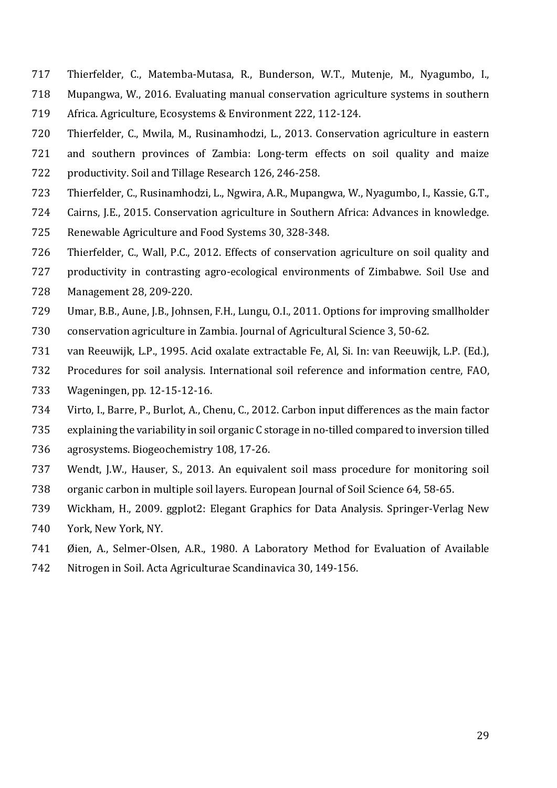- Thierfelder, C., Matemba-Mutasa, R., Bunderson, W.T., Mutenje, M., Nyagumbo, I.,
- Mupangwa, W., 2016. Evaluating manual conservation agriculture systems in southern
- Africa. Agriculture, Ecosystems & Environment 222, 112-124.
- Thierfelder, C., Mwila, M., Rusinamhodzi, L., 2013. Conservation agriculture in eastern
- and southern provinces of Zambia: Long-term effects on soil quality and maize
- productivity. Soil and Tillage Research 126, 246-258.
- Thierfelder, C., Rusinamhodzi, L., Ngwira, A.R., Mupangwa, W., Nyagumbo, I., Kassie, G.T.,
- Cairns, J.E., 2015. Conservation agriculture in Southern Africa: Advances in knowledge.
- Renewable Agriculture and Food Systems 30, 328-348.
- Thierfelder, C., Wall, P.C., 2012. Effects of conservation agriculture on soil quality and
- productivity in contrasting agro-ecological environments of Zimbabwe. Soil Use and
- Management 28, 209-220.
- Umar, B.B., Aune, J.B., Johnsen, F.H., Lungu, O.I., 2011. Options for improving smallholder
- conservation agriculture in Zambia. Journal of Agricultural Science 3, 50-62.
- van Reeuwijk, L.P., 1995. Acid oxalate extractable Fe, Al, Si. In: van Reeuwijk, L.P. (Ed.),
- Procedures for soil analysis. International soil reference and information centre, FAO,
- Wageningen, pp. 12-15-12-16.
- Virto, I., Barre, P., Burlot, A., Chenu, C., 2012. Carbon input differences as the main factor
- explaining the variability in soil organic C storage in no-tilled compared to inversion tilled
- agrosystems. Biogeochemistry 108, 17-26.
- Wendt, J.W., Hauser, S., 2013. An equivalent soil mass procedure for monitoring soil organic carbon in multiple soil layers. European Journal of Soil Science 64, 58-65.
- Wickham, H., 2009. ggplot2: Elegant Graphics for Data Analysis. Springer-Verlag New York, New York, NY.
- Øien, A., Selmer-Olsen, A.R., 1980. A Laboratory Method for Evaluation of Available
- Nitrogen in Soil. Acta Agriculturae Scandinavica 30, 149-156.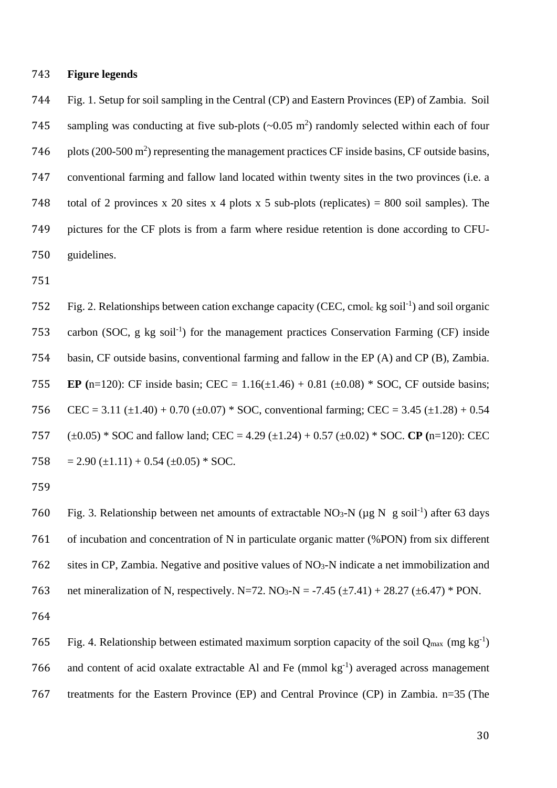#### 743 **Figure legends**

744 Fig. 1. Setup for soil sampling in the Central (CP) and Eastern Provinces (EP) of Zambia. Soil 745 sampling was conducting at five sub-plots  $({\sim}0.05 \text{ m}^2)$  randomly selected within each of four 746 plots  $(200-500 \text{ m}^2)$  representing the management practices CF inside basins, CF outside basins, 747 conventional farming and fallow land located within twenty sites in the two provinces (i.e. a 748 total of 2 provinces x 20 sites x 4 plots x 5 sub-plots (replicates) = 800 soil samples). The 749 pictures for the CF plots is from a farm where residue retention is done according to CFU-750 guidelines.

751

752 Fig. 2. Relationships between cation exchange capacity (CEC, cmol<sub>c</sub> kg soil<sup>-1</sup>) and soil organic 753 carbon (SOC, g kg soil<sup>-1</sup>) for the management practices Conservation Farming (CF) inside 754 basin, CF outside basins, conventional farming and fallow in the EP (A) and CP (B), Zambia. 755 **EP** (n=120): CF inside basin; CEC =  $1.16(\pm 1.46) + 0.81 (\pm 0.08) *$  SOC, CF outside basins; 756 CEC = 3.11 ( $\pm$ 1.40) + 0.70 ( $\pm$ 0.07) \* SOC, conventional farming; CEC = 3.45 ( $\pm$ 1.28) + 0.54 757 (±0.05) \* SOC and fallow land; CEC = 4.29 (±1.24) + 0.57 (±0.02) \* SOC. **CP (**n=120): CEC 758 = 2.90 ( $\pm$ 1.11) + 0.54 ( $\pm$ 0.05) \* SOC.

759

760 Fig. 3. Relationship between net amounts of extractable NO<sub>3</sub>-N ( $\mu$ g N g soil<sup>-1</sup>) after 63 days 761 of incubation and concentration of N in particulate organic matter (%PON) from six different 762 sites in CP, Zambia. Negative and positive values of NO3-N indicate a net immobilization and 763 net mineralization of N, respectively. N=72. NO<sub>3</sub>-N = -7.45 ( $\pm$ 7.41) + 28.27 ( $\pm$ 6.47) \* PON.

765 Fig. 4. Relationship between estimated maximum sorption capacity of the soil  $Q_{\text{max}}$  (mg kg<sup>-1</sup>) 766 and content of acid oxalate extractable Al and Fe (mmol  $kg^{-1}$ ) averaged across management 767 treatments for the Eastern Province (EP) and Central Province (CP) in Zambia. n=35 (The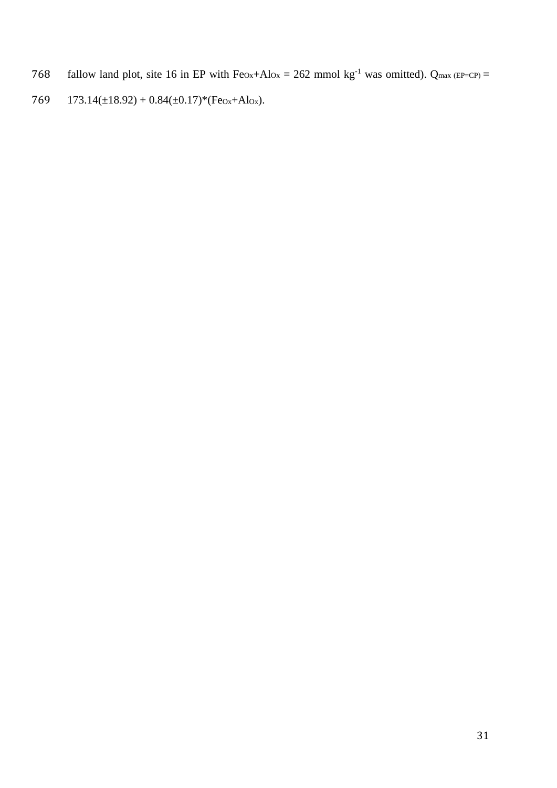- 768 fallow land plot, site 16 in EP with  $Fe<sub>ox</sub>+Al<sub>Ox</sub> = 262$  mmol kg<sup>-1</sup> was omitted). Q<sub>max (EP=CP)</sub> =
- 769 173.14(±18.92) + 0.84(±0.17)\*(Fe<sub>Ox</sub>+Al<sub>Ox</sub>).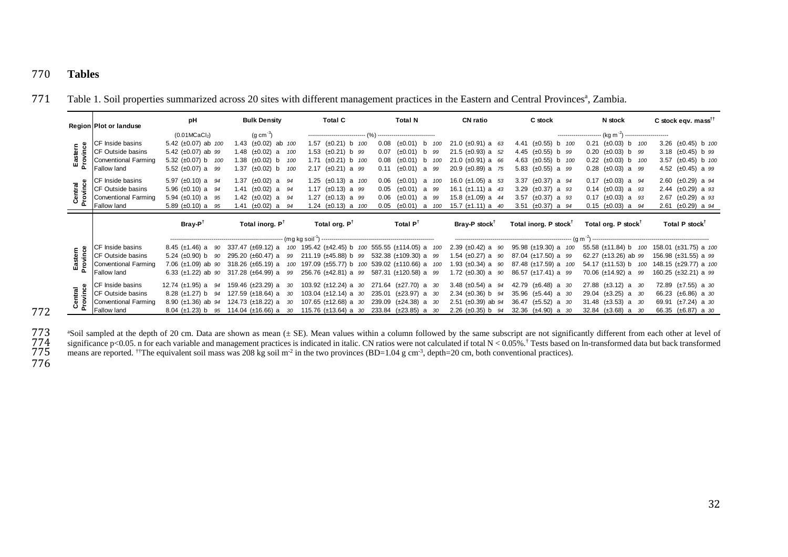# 770 **Tables**

Table 1. Soil properties summarized across 20 sites with different management practices in the Eastern and Central Provinces<sup>a</sup>, Zambia.

|                   | Region Plot or landuse                                                                      | pH                                                                                                           | <b>Bulk Density</b>                                                                                              | <b>Total C</b>                                                                                                  | <b>Total N</b>                                                                                                                       | <b>CN ratio</b>                                                                                         | C stock                                                                                                 | N stock                                                                                                            | C stock eqv. mass <sup><math>\uparrow\uparrow</math></sup>                                             |
|-------------------|---------------------------------------------------------------------------------------------|--------------------------------------------------------------------------------------------------------------|------------------------------------------------------------------------------------------------------------------|-----------------------------------------------------------------------------------------------------------------|--------------------------------------------------------------------------------------------------------------------------------------|---------------------------------------------------------------------------------------------------------|---------------------------------------------------------------------------------------------------------|--------------------------------------------------------------------------------------------------------------------|--------------------------------------------------------------------------------------------------------|
|                   |                                                                                             | (0.01MCaCl <sub>2</sub> )                                                                                    | (g cm $^{-3}$ )                                                                                                  | -----------------------------                                                                                   |                                                                                                                                      |                                                                                                         |                                                                                                         | ----------------------- (kg m <sup>-2</sup> ) -----------------------                                              |                                                                                                        |
| Easter<br>Provinc | CF Inside basins<br><b>ICF Outside basins</b><br>Conventional Farming<br><b>Fallow land</b> | 5.42 $(\pm 0.07)$ ab $100$<br>5.42 $(\pm 0.07)$ ab 99<br>5.32 $(\pm 0.07)$ b $100$<br>5.52 $(\pm 0.07)$ a 99 | 1.43 (±0.02) ab 100<br>1.48 $(\pm 0.02)$ a<br>100<br>1.38 $(\pm 0.02)$ b<br>100<br>1.37 $(\pm 0.02)$ b<br>100    | $(\pm 0.21)$ b 100<br>1.57<br>$(\pm 0.21)$ b 99<br>1.53<br>$(\pm 0.21)$ b 100<br>1.71<br>2.17 $(\pm 0.21)$ a 99 | 0.08<br>$(\pm 0.01)$<br>100<br>b<br>$(\pm 0.01)$<br>0.07<br>b 99<br>0.08<br>$(\pm 0.01)$<br>b 100<br>$(\pm 0.01)$<br>0.11<br>a 99    | 21.0 ( $\pm$ 0.91) a 63<br>21.5 ( $\pm 0.93$ ) a 52<br>21.0 $(\pm 0.91)$ a 66<br>20.9 $(\pm 0.89)$ a 75 | 4.41 (±0.55) b 100<br>4.45 $(\pm 0.55)$ b 99<br>4.63 (±0.55) b 100<br>5.83 $(\pm 0.55)$ a 99            | $0.21$ ( $\pm 0.03$ ) b<br>100<br>$0.20$ ( $\pm 0.03$ ) b 99<br>$0.22$ (±0.03) b 100<br>$0.28$ ( $\pm 0.03$ ) a 99 | 3.26 $(\pm 0.45)$ b 100<br>3.18 $(\pm 0.45)$ b 99<br>3.57 $(\pm 0.45)$ b 100<br>4.52 $(\pm 0.45)$ a 99 |
|                   | CF Inside basins<br><b>ICF Outside basins</b><br><b>Conventional Farming</b><br>Fallow land | 5.97 ( $\pm$ 0.10) a 94<br>5.96 $(\pm 0.10)$ a 94<br>5.94 $(\pm 0.10)$ a 95<br>5.89 $(\pm 0.10)$ a 95        | 1.37 ( $\pm 0.02$ ) a 94<br>1.41 $(\pm 0.02)$<br>94<br>a<br>1.42 $(\pm 0.02)$ a<br>94<br>(±0.02) a<br>1.41<br>94 | 1.25 $(\pm 0.13)$ a 100<br>$(\pm 0.13)$ a 99<br>1.17<br>$(\pm 0.13)$ a 99<br>1.27<br>$(\pm 0.13)$ a 100<br>1.24 | $(\pm 0.01)$<br>0.06<br>a<br>100<br>$(\pm 0.01)$<br>0.05<br>a 99<br>0.06<br>$(\pm 0.01)$<br>a 99<br>$(\pm 0.01)$<br>0.05<br>100<br>a | 16.0 $(\pm 1.05)$ a 53<br>16.1 ( $\pm$ 1.11) a 43<br>15.8 $(\pm 1.09)$ a 44<br>15.7 $(\pm 1.11)$ a 40   | 3.37 $(\pm 0.37)$ a 94<br>$(\pm 0.37)$ a 93<br>3.29<br>3.57 $(\pm 0.37)$ a 93<br>3.51 $(\pm 0.37)$ a 94 | $0.17$ (±0.03) a $94$<br>$0.14$ ( $\pm 0.03$ ) a 93<br>$0.17$ ( $\pm 0.03$ ) a 93<br>$0.15$ (±0.03) a $94$         | 2.60 $(\pm 0.29)$ a 94<br>2.44 $(\pm 0.29)$ a 93<br>2.67 $(\pm 0.29)$ a 93<br>2.61 $(\pm 0.29)$ a 94   |
|                   |                                                                                             |                                                                                                              |                                                                                                                  |                                                                                                                 |                                                                                                                                      |                                                                                                         |                                                                                                         |                                                                                                                    |                                                                                                        |
|                   |                                                                                             | $Bray-P^{\dagger}$                                                                                           | Total inorg. $P^{\dagger}$                                                                                       | Total org. P <sup>t</sup>                                                                                       | Total P <sup>t</sup>                                                                                                                 | Bray-P stock <sup>†</sup>                                                                               | Total inorg. P stock <sup>†</sup>                                                                       | Total org. P stock <sup>†</sup>                                                                                    | Total P stock <sup>†</sup>                                                                             |
|                   |                                                                                             |                                                                                                              |                                                                                                                  |                                                                                                                 |                                                                                                                                      |                                                                                                         |                                                                                                         |                                                                                                                    |                                                                                                        |
|                   | CF Inside basins                                                                            | 8.45 $(\pm 1.46)$ a 90                                                                                       | 337.47 (±69.12) a<br>100                                                                                         |                                                                                                                 | 195.42 (±42.45) b 100 555.55 (±114.05) a 100                                                                                         | 2.39 $(\pm 0.42)$ a 90                                                                                  | 95.98 (±19.30) a 100                                                                                    | 55.58 (±11.84) b<br>100                                                                                            | 158.01 (±31.75) a 100                                                                                  |
| <b>Fern</b>       | <b>CF Outside basins</b>                                                                    | 5.24 $(\pm 0.90)$ b<br>90                                                                                    | 295.20 $(\pm 60.47)$ a<br>99                                                                                     | $211.19 \ (\pm 45.88) \ b \quad 99$                                                                             | 532.38 (±109.30) a 99                                                                                                                | 1.54 $(\pm 0.27)$ a 90                                                                                  | 87.04 $(\pm 17.50)$ a 99                                                                                | 62.27 $(\pm 13.26)$ ab 99                                                                                          | 156.98 $(\pm 31.55)$ a 99                                                                              |
| ia<br>≌           | Conventional Farming<br><b>Fallow land</b>                                                  | 7.06 $(\pm 1.09)$ ab 90<br>6.33 $(\pm 1.22)$ ab 90                                                           | 318.26 $(\pm 65.19)$ a<br>100<br>317.28 (±64.99) a<br>99                                                         | 197.09 (±55.77) b 100<br>$256.76 \ (\pm 42.81)$ a 99                                                            | 539.02 (±110.66) a 100<br>587.31 (±120.58) a 99                                                                                      | 1.93 $(\pm 0.34)$ a 90<br>1.72 $(\pm 0.30)$ a 90                                                        | 87.48 (±17.59) a 100<br>86.57 $(\pm 17.41)$ a 99                                                        | 54.17 $(\pm 11.53)$ b<br>100<br>70.06 $(\pm 14.92)$ a 99                                                           | 148.15 (±29.77) a 100<br>160.25 $(\pm 32.21)$ a 99                                                     |
| Central           | CF Inside basins<br><b>CF Outside basins</b><br>Conventional Farming                        | 12.74 $(\pm 1.95)$ a 94<br>8.28 $(\pm 1.27)$ b 94<br>8.90 $(\pm 1.36)$ ab 94                                 | 159.46 $(\pm 23.29)$ a<br>30<br>127.59 $(\pm 18.64)$ a<br>- 30<br>124.73 $(\pm 18.22)$ a<br>-30                  | 103.92 $(\pm 12.24)$ a 30<br>103.04 ( $\pm$ 12.14) a 30<br>107.65 $(\pm 12.68)$ a 30                            | 271.64 (±27.70) a 30<br>235.01 (±23.97) a 30<br>239.09 (±24.38) a 30                                                                 | 3.48 $(\pm 0.54)$ a 94<br>2.34 $(\pm 0.36)$ b $94$<br>2.51 ( $\pm$ 0.39) ab 94                          | 42.79 $(\pm 6.48)$ a 30<br>35.96 $(\pm 5.44)$ a 30<br>36.47<br>$(\pm 5.52)$ a 30                        | 27.88 $(\pm 3.12)$ a 30<br>29.04 $(\pm 3.25)$ a 30<br>31.48 $(\pm 3.53)$ a 30                                      | 72.89 $(\pm 7.55)$ a 30<br>66.23 $(\pm 6.86)$ a 30<br>69.91 $(\pm 7.24)$ a 30                          |

772

<sup>a</sup>Soil sampled at the depth of 20 cm. Data are shown as mean ( $\pm$  SE). Mean values within a column followed by the same subscript are not significantly different from each other at level of significance p<0.05. n for ea  $774$  significance p<0.05. n for each variable and management practices is indicated in italic. CN ratios were not calculated if total N < 0.05%.<sup>†</sup> Tests based on ln-transformed data but back transformed  $777$ means are reported. <sup>††</sup>The equivalent soil mass was 208 kg soil m<sup>-2</sup> in the two provinces (BD=1.04 g cm<sup>-3</sup>, depth=20 cm, both conventional practices).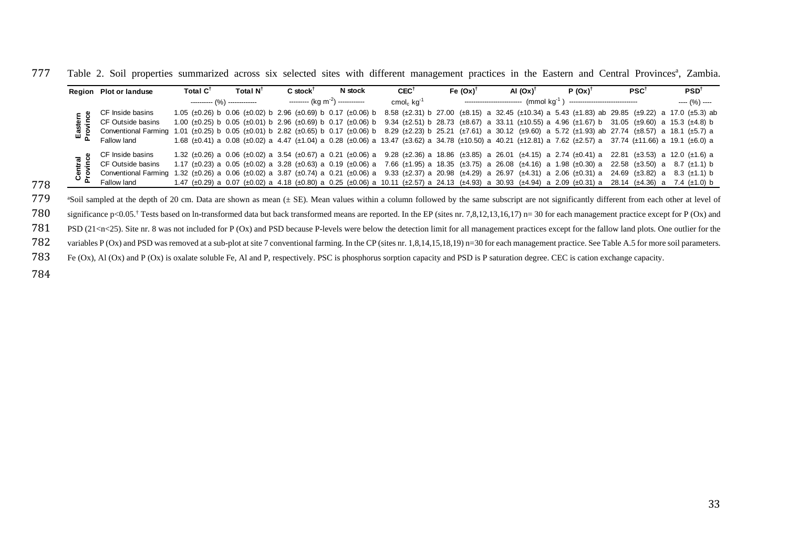| Region Plot or landuse                                                                                                                                                                  | Total C <sup>T</sup> | Total N <sup>T</sup>            | $C$ stock <sup>T</sup> | N stock                                      | $CEC^{\dagger}$             | Fe $(0x)^T$ | AI $(Ox)^T$                                                                                                                                                 | $P(Ox)^T$ | PSC <sup>T</sup> | PSD <sup>T</sup> |
|-----------------------------------------------------------------------------------------------------------------------------------------------------------------------------------------|----------------------|---------------------------------|------------------------|----------------------------------------------|-----------------------------|-------------|-------------------------------------------------------------------------------------------------------------------------------------------------------------|-----------|------------------|------------------|
|                                                                                                                                                                                         |                      | ----------- $(%)$ ------------- |                        | --------- (kg m <sup>-2</sup> ) ------------ | cmol <sub>c</sub> $kq^{-1}$ |             | $(mmol$ kg <sup>-1</sup> )                                                                                                                                  |           |                  | $--- (%) ---$    |
| CF Inside basins                                                                                                                                                                        |                      |                                 |                        |                                              |                             |             | 1.05 (±0.26) b 0.06 (±0.02) b 2.96 (±0.69) b 0.17 (±0.06) b 8.58 (±2.31) b 27.00 (±8.15) a 32.45 (±10.34) a 5.43 (±1.83) ab 29.85 (±9.22) a 17.0 (±5.3) ab  |           |                  |                  |
| <b>E</b> CF Outside basins                                                                                                                                                              |                      |                                 |                        |                                              |                             |             | 1.00 (±0.25) b 0.05 (±0.01) b 2.96 (±0.69) b 0.17 (±0.06) b 9.34 (±2.51) b 28.73 (±8.67) a 33.11 (±10.55) a 4.96 (±1.67) b 31.05 (±9.60) a 15.3 (±4.8) b    |           |                  |                  |
| 8 2 Conventional Farming 1.01 (±0.25) b 0.05 (±0.01) b 2.82 (±0.65) b 0.17 (±0.06) b 8.29 (±2.23) b 25.21 (±7.61) a 30.12 (±9.60) a 5.72 (±1.93) ab 27.74 (±8.57) a 18.1 (±5.7) a       |                      |                                 |                        |                                              |                             |             |                                                                                                                                                             |           |                  |                  |
| Fallow land                                                                                                                                                                             |                      |                                 |                        |                                              |                             |             | 1.68 (±0.41) a 0.08 (±0.02) a 4.47 (±1.04) a 0.28 (±0.06) a 13.47 (±3.62) a 34.78 (±10.50) a 40.21 (±12.81) a 7.62 (±2.57) a 37.74 (±11.66) a 19.1 (±6.0) a |           |                  |                  |
| CF Inside basins                                                                                                                                                                        |                      |                                 |                        |                                              |                             |             | 1.32 (±0.26) a 0.06 (±0.02) a 3.54 (±0.67) a 0.21 (±0.06) a 9.28 (±2.36) a 18.86 (±3.85) a 26.01 (±4.15) a 2.74 (±0.41) a 22.81 (±3.53) a 12.0 (±1.6) a     |           |                  |                  |
| $\ddot{\mathbf{v}}$ $\mathbf{v}$ CF Outside basins                                                                                                                                      |                      |                                 |                        |                                              |                             |             | 1.17 (±0.23) a 0.05 (±0.02) a 3.28 (±0.63) a 0.19 (±0.06) a 7.66 (±1.95) a 18.35 (±3.75) a 26.08 (±4.16) a 1.98 (±0.30) a 22.58 (±3.50) a 8.7 (±1.1) b      |           |                  |                  |
| @ 26.97 (±4.31) a 2.06 (±0.31) a 24.69 (±3.82) a 3.8 (±0.14) a 3.87 (±0.74) a 3.21 (±0.06) a 9.33 (±2.37) a 20.98 (±4.29) a 26.97 (±4.31) a 2.06 (±0.31) a 24.69 (±3.82) a 8.3 (±1.1) b |                      |                                 |                        |                                              |                             |             |                                                                                                                                                             |           |                  |                  |
| Fallow land                                                                                                                                                                             |                      |                                 |                        |                                              |                             |             | 1.47 (±0.29) a 0.07 (±0.02) a 4.18 (±0.80) a 0.25 (±0.06) a 10.11 (±2.57) a 24.13 (±4.93) a 30.93 (±4.94) a 2.09 (±0.31) a 28.14 (±4.36) a 7.4 (±1.0) b     |           |                  |                  |

777 Table 2. Soil properties summarized across six selected sites with different management practices in the Eastern and Central Provinces<sup>a</sup>, Zambia.

778 <sup>4</sup>Soil sampled at the depth of 20 cm. Data are shown as mean ( $\pm$  SE). Mean values within a column followed by the same subscript are not significantly different from each other at level of significance  $p(0x)$  signific

Someticance p<0.05.<sup>†</sup> Tests based on ln-transformed data but back transformed means are reported. In the EP (sites nr. 7,8,12,13,16,17) n= 30 for each management practice except for P (Ox) and TBS (21<n<25). Site nr. 8 w 781 PSD (21<n<25). Site nr. 8 was not included for P (Ox) and PSD because P-levels were below the detection limit for all management practices except for the fallow land plots. One outlier for the 782 variables P (Ox) and

variables P (Ox) and PSD was removed at a sub-plot at site 7 conventional farming. In the CP (sites nr. 1,8,14,15,18,19) n=30 for each management practice. See Table A.5 for more soil parameters.<br>783 Fe (Ox), Al (Ox) and P

Fe (Ox), Al (Ox) and P (Ox) is oxalate soluble Fe, Al and P, respectively. PSC is phosphorus sorption capacity and PSD is P saturation degree. CEC is cation exchange capacity.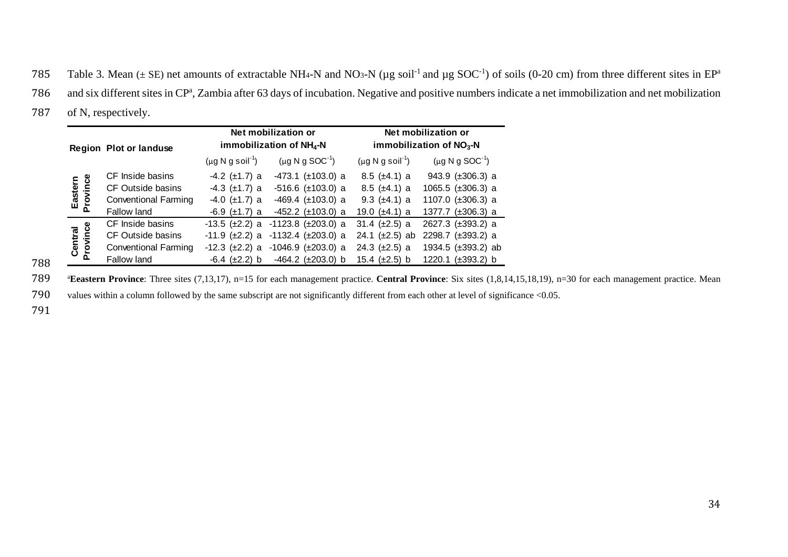785 Table 3. Mean ( $\pm$  SE) net amounts of extractable NH<sub>4</sub>-N and NO<sub>3</sub>-N ( $\mu$ g soil<sup>-1</sup> and  $\mu$ g SOC<sup>-1</sup>) of soils (0-20 cm) from three different sites in EP<sup>a</sup>

- 786 and six different sites in CP<sup>a</sup>, Zambia after 63 days of incubation. Negative and positive numbers indicate a net immobilization and net mobilization
- 787 of N, respectively.

|                     | <b>Region Plot or landuse</b> |                                                | Net mobilization or<br>immobilization of NH <sub>4</sub> -N | Net mobilization or<br>immobilization of $NO3$ -N |                           |  |
|---------------------|-------------------------------|------------------------------------------------|-------------------------------------------------------------|---------------------------------------------------|---------------------------|--|
|                     |                               | $(\mu g \, N \, g \, \text{soil}^{\text{-1}})$ | $(\mu g N g SOC^{-1})$                                      | $(\mu g \, N \, g \, \text{soil}^{\text{-1}})$    | $(\mu g N g SOC^{-1})$    |  |
|                     | CF Inside basins              | $-4.2$ ( $\pm$ 1.7) a                          | $-473.1$ ( $\pm$ 103.0) a                                   | $8.5 \ (\pm 4.1) a$                               | 943.9 $(\pm 306.3)$ a     |  |
| Eastern<br>Province | CF Outside basins             | $-4.3$ ( $\pm$ 1.7) a                          | $-516.6$ ( $\pm 103.0$ ) a                                  | $8.5 \ (\pm 4.1) a$                               | 1065.5 $(\pm 306.3)$ a    |  |
|                     | <b>Conventional Farming</b>   | $-4.0 \ (\pm 1.7) a$                           | $-469.4$ ( $\pm$ 103.0) a                                   | 9.3 $(\pm 4.1)$ a                                 | 1107.0 $(\pm 306.3)$ a    |  |
|                     | <b>Fallow land</b>            | $-6.9 \ (\pm 1.7) a$                           | $-452.2$ ( $\pm$ 103.0) a                                   | 19.0 $(\pm 4.1)$ a                                | 1377.7 (±306.3) a         |  |
|                     | CF Inside basins              | -13.5 (±2.2) a                                 | $-1123.8$ ( $\pm 203.0$ ) a                                 | 31.4 $(\pm 2.5)$ a                                | 2627.3 (±393.2) a         |  |
|                     | CF Outside basins             | -11.9 (±2.2) a                                 | $-1132.4$ ( $\pm 203.0$ ) a                                 | 24.1 $(\pm 2.5)$ ab                               | 2298.7 (±393.2) a         |  |
| Central<br>Province | <b>Conventional Farming</b>   | $-12.3$ ( $\pm 2.2$ ) a                        | $-1046.9$ ( $\pm 203.0$ ) a                                 | 24.3 $(\pm 2.5)$ a                                | 1934.5 (±393.2) ab        |  |
|                     | Fallow land                   | $-6.4 \ (\pm 2.2) \ b$                         | $-464.2$ ( $\pm 203.0$ ) b                                  | 15.4 $(\pm 2.5)$ b                                | 1220.1<br>$(\pm 393.2)$ b |  |

788

<sup>a</sup> Eeastern Province: Three sites (7,13,17), n=15 for each management practice. Central Province: Six sites (1,8,14,15,18,19), n=30 for each management practice. Mean

790 values within a column followed by the same subscript are not significantly different from each other at level of significance <0.05.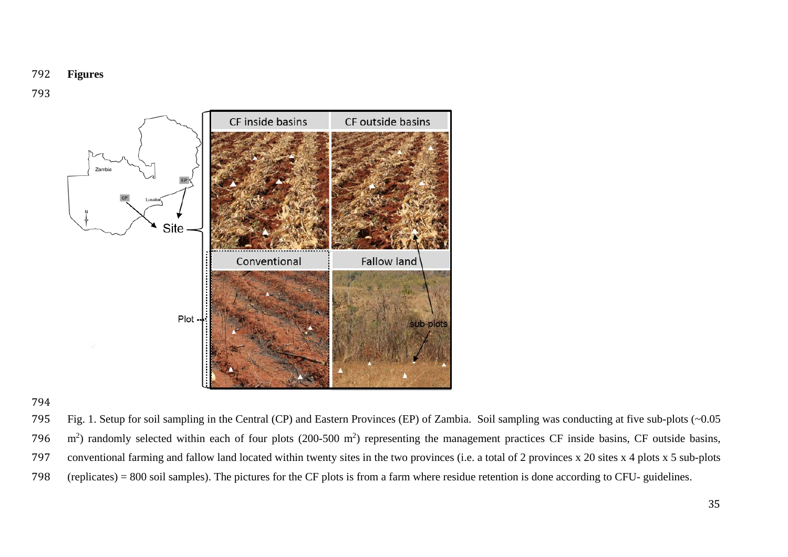## **Figures**



 Fig. 1. Setup for soil sampling in the Central (CP) and Eastern Provinces (EP) of Zambia. Soil sampling was conducting at five sub-plots (~0.05 796  $\,$  m<sup>2</sup>) randomly selected within each of four plots (200-500 m<sup>2</sup>) representing the management practices CF inside basins, CF outside basins, conventional farming and fallow land located within twenty sites in the two provinces (i.e. a total of 2 provinces x 20 sites x 4 plots x 5 sub-plots (replicates) = 800 soil samples). The pictures for the CF plots is from a farm where residue retention is done according to CFU- guidelines.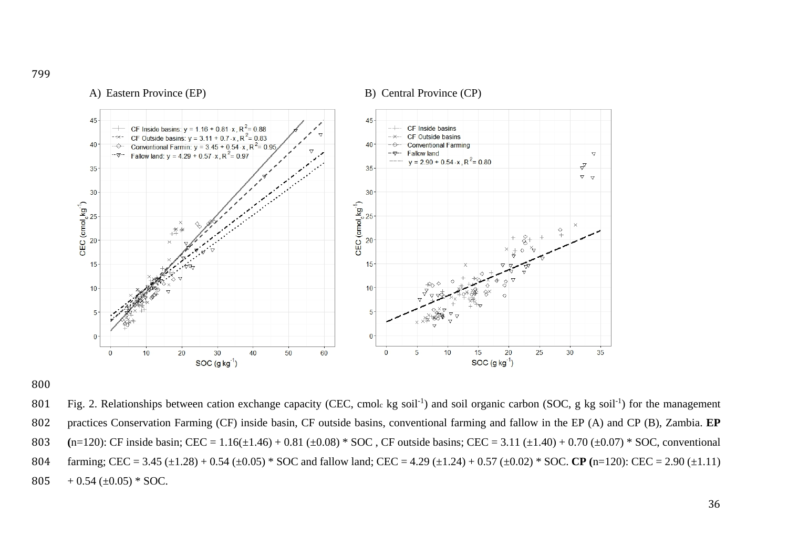

A) Eastern Province (EP) B) Central Province (CP)

800

801 Fig. 2. Relationships between cation exchange capacity (CEC, cmole kg soil<sup>-1</sup>) and soil organic carbon (SOC, g kg soil<sup>-1</sup>) for the management 802 practices Conservation Farming (CF) inside basin, CF outside basins, conventional farming and fallow in the EP (A) and CP (B), Zambia. **EP**  803 (n=120): CF inside basin; CEC = 1.16( $\pm$ 1.46) + 0.81 ( $\pm$ 0.08) \* SOC, CF outside basins; CEC = 3.11 ( $\pm$ 1.40) + 0.70 ( $\pm$ 0.07) \* SOC, conventional 804 farming; CEC = 3.45 (±1.28) + 0.54 (±0.05) \* SOC and fallow land; CEC = 4.29 (±1.24) + 0.57 (±0.02) \* SOC. **CP (**n=120): CEC = 2.90 (±1.11) 805  $+ 0.54 \left( \pm 0.05 \right) * SOC$ .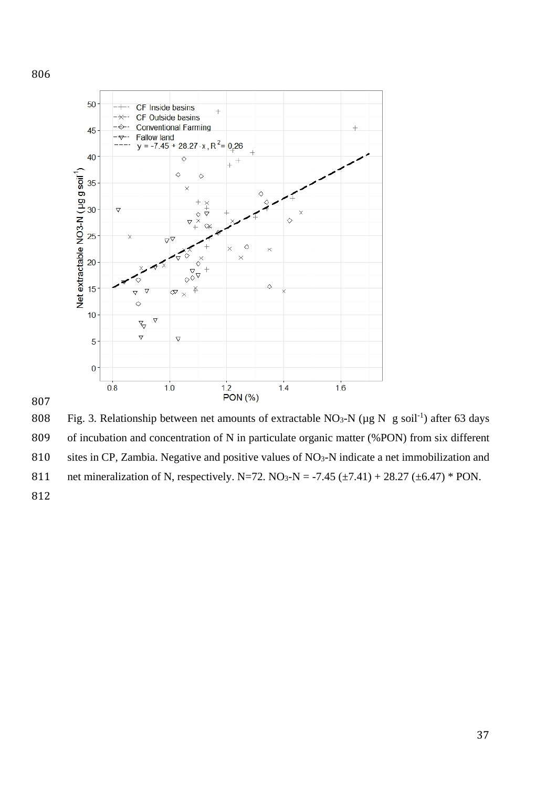



808 Fig. 3. Relationship between net amounts of extractable NO<sub>3</sub>-N ( $\mu$ g N g soil<sup>-1</sup>) after 63 days of incubation and concentration of N in particulate organic matter (%PON) from six different 810 sites in CP, Zambia. Negative and positive values of NO<sub>3</sub>-N indicate a net immobilization and 811 net mineralization of N, respectively. N=72. NO<sub>3</sub>-N = -7.45 ( $\pm$ 7.41) + 28.27 ( $\pm$ 6.47) \* PON.